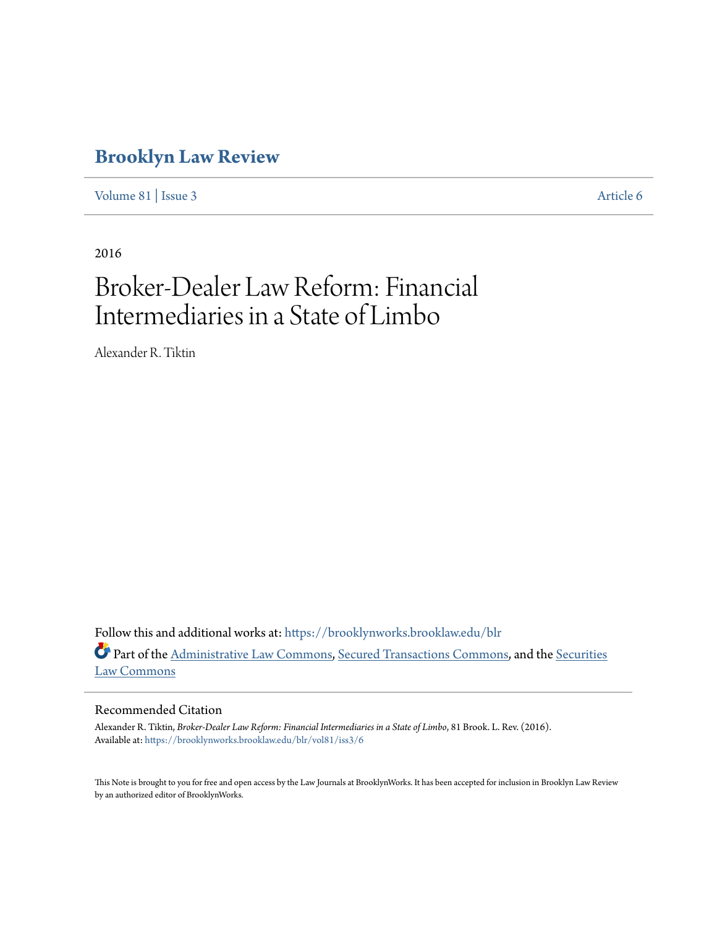# **[Brooklyn Law Review](https://brooklynworks.brooklaw.edu/blr?utm_source=brooklynworks.brooklaw.edu%2Fblr%2Fvol81%2Fiss3%2F6&utm_medium=PDF&utm_campaign=PDFCoverPages)**

[Volume 81](https://brooklynworks.brooklaw.edu/blr/vol81?utm_source=brooklynworks.brooklaw.edu%2Fblr%2Fvol81%2Fiss3%2F6&utm_medium=PDF&utm_campaign=PDFCoverPages) | [Issue 3](https://brooklynworks.brooklaw.edu/blr/vol81/iss3?utm_source=brooklynworks.brooklaw.edu%2Fblr%2Fvol81%2Fiss3%2F6&utm_medium=PDF&utm_campaign=PDFCoverPages) [Article 6](https://brooklynworks.brooklaw.edu/blr/vol81/iss3/6?utm_source=brooklynworks.brooklaw.edu%2Fblr%2Fvol81%2Fiss3%2F6&utm_medium=PDF&utm_campaign=PDFCoverPages)

2016

# Broker-Dealer Law Reform: Financial Intermediaries in a State of Limbo

Alexander R. Tiktin

Follow this and additional works at: [https://brooklynworks.brooklaw.edu/blr](https://brooklynworks.brooklaw.edu/blr?utm_source=brooklynworks.brooklaw.edu%2Fblr%2Fvol81%2Fiss3%2F6&utm_medium=PDF&utm_campaign=PDFCoverPages) Part of the [Administrative Law Commons,](http://network.bepress.com/hgg/discipline/579?utm_source=brooklynworks.brooklaw.edu%2Fblr%2Fvol81%2Fiss3%2F6&utm_medium=PDF&utm_campaign=PDFCoverPages) [Secured Transactions Commons](http://network.bepress.com/hgg/discipline/876?utm_source=brooklynworks.brooklaw.edu%2Fblr%2Fvol81%2Fiss3%2F6&utm_medium=PDF&utm_campaign=PDFCoverPages), and the [Securities](http://network.bepress.com/hgg/discipline/619?utm_source=brooklynworks.brooklaw.edu%2Fblr%2Fvol81%2Fiss3%2F6&utm_medium=PDF&utm_campaign=PDFCoverPages) [Law Commons](http://network.bepress.com/hgg/discipline/619?utm_source=brooklynworks.brooklaw.edu%2Fblr%2Fvol81%2Fiss3%2F6&utm_medium=PDF&utm_campaign=PDFCoverPages)

## Recommended Citation

Alexander R. Tiktin, *Broker-Dealer Law Reform: Financial Intermediaries in a State of Limbo*, 81 Brook. L. Rev. (2016). Available at: [https://brooklynworks.brooklaw.edu/blr/vol81/iss3/6](https://brooklynworks.brooklaw.edu/blr/vol81/iss3/6?utm_source=brooklynworks.brooklaw.edu%2Fblr%2Fvol81%2Fiss3%2F6&utm_medium=PDF&utm_campaign=PDFCoverPages)

This Note is brought to you for free and open access by the Law Journals at BrooklynWorks. It has been accepted for inclusion in Brooklyn Law Review by an authorized editor of BrooklynWorks.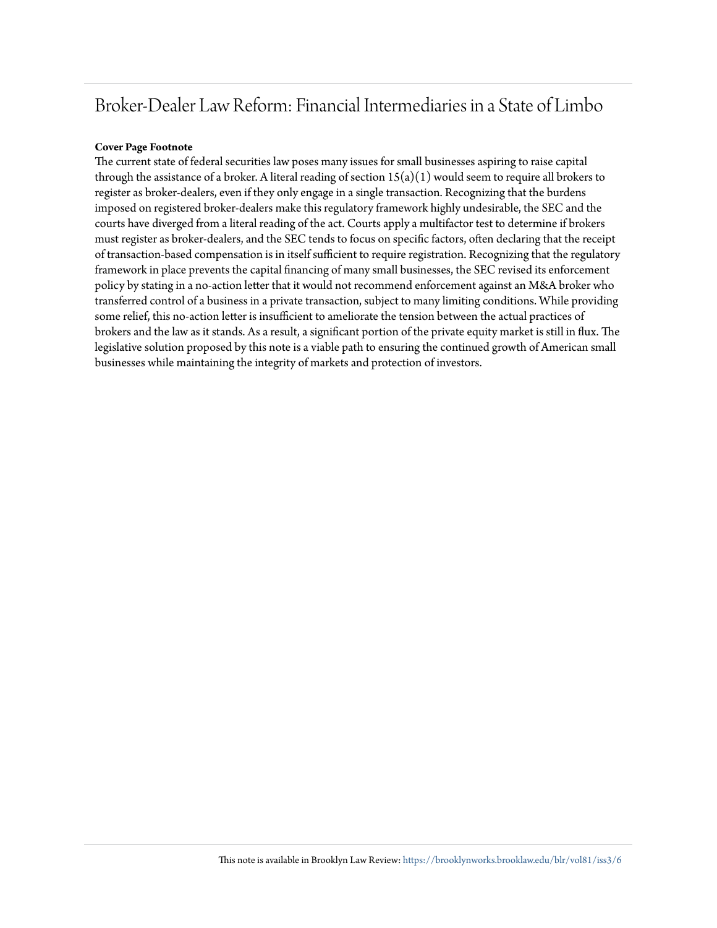# Broker-Dealer Law Reform: Financial Intermediaries in a State of Limbo

### **Cover Page Footnote**

The current state of federal securities law poses many issues for small businesses aspiring to raise capital through the assistance of a broker. A literal reading of section  $15(a)(1)$  would seem to require all brokers to register as broker-dealers, even if they only engage in a single transaction. Recognizing that the burdens imposed on registered broker-dealers make this regulatory framework highly undesirable, the SEC and the courts have diverged from a literal reading of the act. Courts apply a multifactor test to determine if brokers must register as broker-dealers, and the SEC tends to focus on specific factors, often declaring that the receipt of transaction-based compensation is in itself sufficient to require registration. Recognizing that the regulatory framework in place prevents the capital financing of many small businesses, the SEC revised its enforcement policy by stating in a no-action letter that it would not recommend enforcement against an M&A broker who transferred control of a business in a private transaction, subject to many limiting conditions. While providing some relief, this no-action letter is insufficient to ameliorate the tension between the actual practices of brokers and the law as it stands. As a result, a significant portion of the private equity market is still in flux. The legislative solution proposed by this note is a viable path to ensuring the continued growth of American small businesses while maintaining the integrity of markets and protection of investors.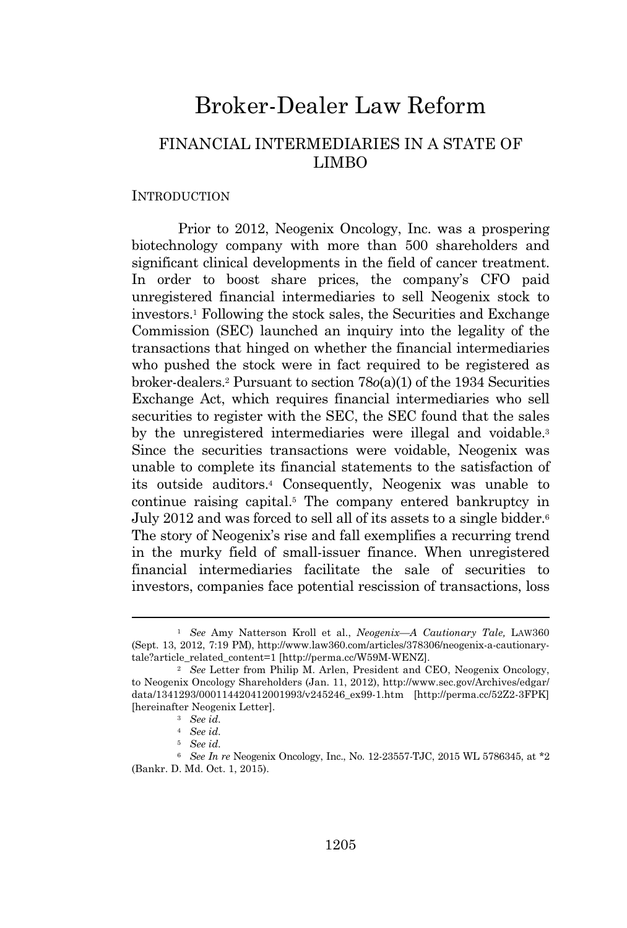## Broker-Dealer Law Reform

## FINANCIAL INTERMEDIARIES IN A STATE OF LIMBO

## **INTRODUCTION**

Prior to 2012, Neogenix Oncology, Inc. was a prospering biotechnology company with more than 500 shareholders and significant clinical developments in the field of cancer treatment. In order to boost share prices, the company's CFO paid unregistered financial intermediaries to sell Neogenix stock to investors.<sup>1</sup> Following the stock sales, the Securities and Exchange Commission (SEC) launched an inquiry into the legality of the transactions that hinged on whether the financial intermediaries who pushed the stock were in fact required to be registered as broker-dealers.<sup>2</sup> Pursuant to section 78*o*(a)(1) of the 1934 Securities Exchange Act, which requires financial intermediaries who sell securities to register with the SEC, the SEC found that the sales by the unregistered intermediaries were illegal and voidable.<sup>3</sup> Since the securities transactions were voidable, Neogenix was unable to complete its financial statements to the satisfaction of its outside auditors.<sup>4</sup> Consequently, Neogenix was unable to continue raising capital.<sup>5</sup> The company entered bankruptcy in July 2012 and was forced to sell all of its assets to a single bidder.<sup>6</sup> The story of Neogenix's rise and fall exemplifies a recurring trend in the murky field of small-issuer finance. When unregistered financial intermediaries facilitate the sale of securities to investors, companies face potential rescission of transactions, loss

<sup>1</sup> *See* Amy Natterson Kroll et al., *Neogenix—A Cautionary Tale,* LAW360 (Sept. 13, 2012, 7:19 PM), http://www.law360.com/articles/378306/neogenix-a-cautionarytale?article\_related\_content=1 [http://perma.cc/W59M-WENZ].

<sup>2</sup> *See* Letter from Philip M. Arlen, President and CEO, Neogenix Oncology, to Neogenix Oncology Shareholders (Jan. 11, 2012), http://www.sec.gov/Archives/edgar/ data/1341293/000114420412001993/v245246\_ex99-1.htm [http://perma.cc/52Z2-3FPK] [hereinafter Neogenix Letter].

<sup>3</sup> *See id.*

<sup>4</sup> *See id.*

<sup>5</sup> *See id.*

<sup>6</sup> *See In re* Neogenix Oncology, Inc., No. 12-23557-TJC, 2015 WL 5786345, at \*2 (Bankr. D. Md. Oct. 1, 2015).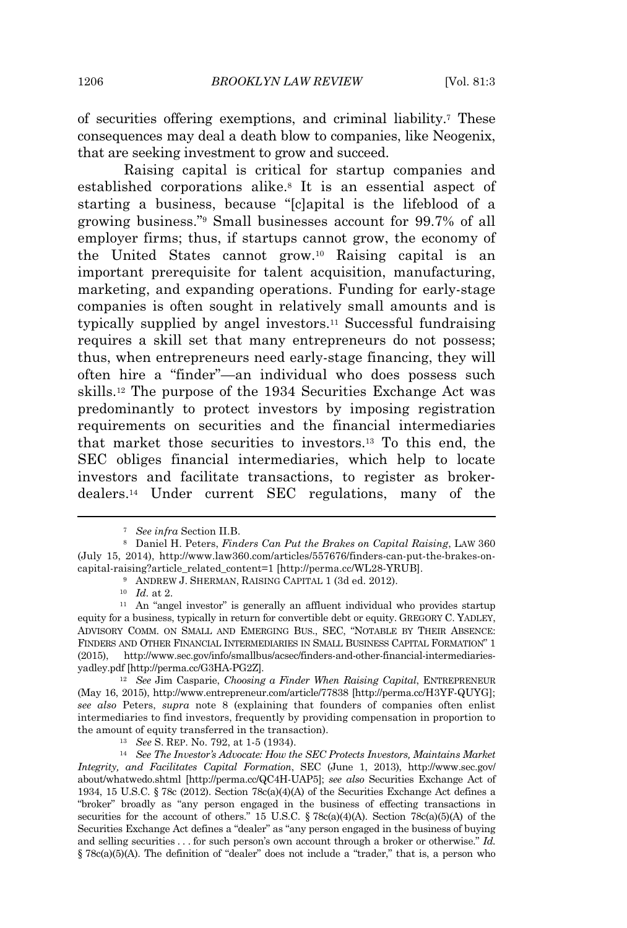of securities offering exemptions, and criminal liability.<sup>7</sup> These consequences may deal a death blow to companies, like Neogenix, that are seeking investment to grow and succeed.

Raising capital is critical for startup companies and established corporations alike.<sup>8</sup> It is an essential aspect of starting a business, because "[c]apital is the lifeblood of a growing business." <sup>9</sup> Small businesses account for 99.7% of all employer firms; thus, if startups cannot grow, the economy of the United States cannot grow.<sup>10</sup> Raising capital is an important prerequisite for talent acquisition, manufacturing, marketing, and expanding operations. Funding for early-stage companies is often sought in relatively small amounts and is typically supplied by angel investors.<sup>11</sup> Successful fundraising requires a skill set that many entrepreneurs do not possess; thus, when entrepreneurs need early-stage financing, they will often hire a "finder"—an individual who does possess such skills.<sup>12</sup> The purpose of the 1934 Securities Exchange Act was predominantly to protect investors by imposing registration requirements on securities and the financial intermediaries that market those securities to investors.<sup>13</sup> To this end, the SEC obliges financial intermediaries, which help to locate investors and facilitate transactions, to register as brokerdealers.<sup>14</sup> Under current SEC regulations, many of the

<sup>12</sup> *See* Jim Casparie, *Choosing a Finder When Raising Capital*, ENTREPRENEUR (May 16, 2015), http://www.entrepreneur.com/article/77838 [http://perma.cc/H3YF-QUYG]; *see also* Peters, *supra* note 8 (explaining that founders of companies often enlist intermediaries to find investors, frequently by providing compensation in proportion to the amount of equity transferred in the transaction).

<sup>14</sup> *See The Investor's Advocate: How the SEC Protects Investors, Maintains Market Integrity, and Facilitates Capital Formation*, SEC (June 1, 2013), http://www.sec.gov/ about/whatwedo.shtml [http://perma.cc/QC4H-UAP5]; *see also* Securities Exchange Act of 1934, 15 U.S.C. § 78c (2012). Section 78c(a)(4)(A) of the Securities Exchange Act defines a "broker" broadly as "any person engaged in the business of effecting transactions in securities for the account of others." 15 U.S.C. § 78c(a)(4)(A). Section 78c(a)(5)(A) of the Securities Exchange Act defines a "dealer" as "any person engaged in the business of buying and selling securities . . . for such person's own account through a broker or otherwise." *Id.*  $§ 78c(a)(5)(A)$ . The definition of "dealer" does not include a "trader," that is, a person who

<sup>7</sup> *See infra* Section II.B.

<sup>8</sup> Daniel H. Peters, *Finders Can Put the Brakes on Capital Raising*, LAW 360 (July 15, 2014), http://www.law360.com/articles/557676/finders-can-put-the-brakes-oncapital-raising?article\_related\_content=1 [http://perma.cc/WL28-YRUB].

<sup>9</sup> ANDREW J. SHERMAN, RAISING CAPITAL 1 (3d ed. 2012).

<sup>10</sup> *Id.* at 2.

<sup>&</sup>lt;sup>11</sup> An "angel investor" is generally an affluent individual who provides startup equity for a business, typically in return for convertible debt or equity. GREGORY C. YADLEY, ADVISORY COMM. ON SMALL AND EMERGING BUS., SEC, "NOTABLE BY THEIR ABSENCE: FINDERS AND OTHER FINANCIAL INTERMEDIARIES IN SMALL BUSINESS CAPITAL FORMATION" 1 (2015), http://www.sec.gov/info/smallbus/acsec/finders-and-other-financial-intermediariesyadley.pdf [http://perma.cc/G3HA-PG2Z].

<sup>13</sup> *See* S. REP. No. 792, at 1-5 (1934).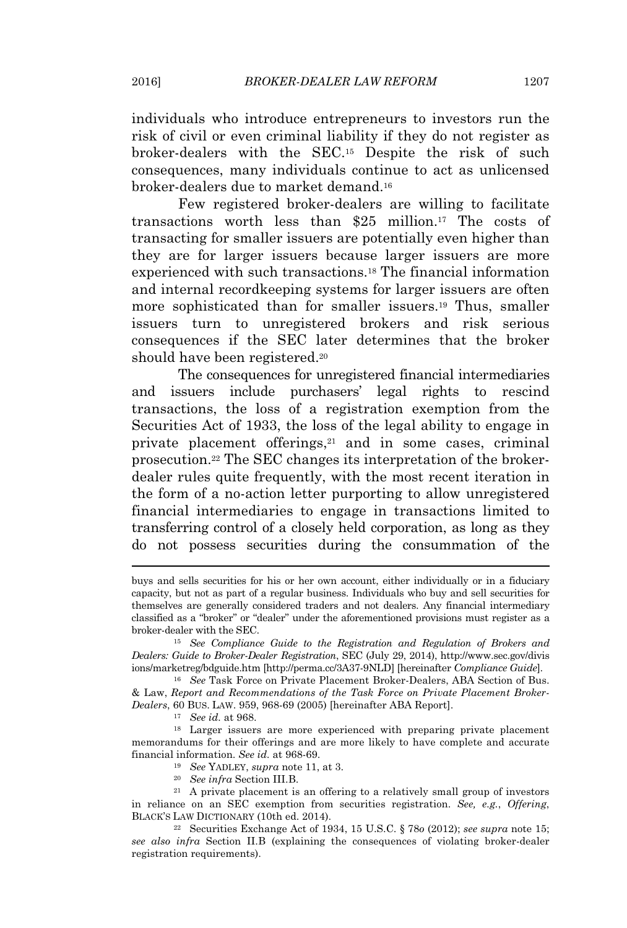individuals who introduce entrepreneurs to investors run the risk of civil or even criminal liability if they do not register as broker-dealers with the SEC.<sup>15</sup> Despite the risk of such consequences, many individuals continue to act as unlicensed broker-dealers due to market demand.<sup>16</sup>

Few registered broker-dealers are willing to facilitate transactions worth less than \$25 million.<sup>17</sup> The costs of transacting for smaller issuers are potentially even higher than they are for larger issuers because larger issuers are more experienced with such transactions.<sup>18</sup> The financial information and internal recordkeeping systems for larger issuers are often more sophisticated than for smaller issuers.<sup>19</sup> Thus, smaller issuers turn to unregistered brokers and risk serious consequences if the SEC later determines that the broker should have been registered.<sup>20</sup>

The consequences for unregistered financial intermediaries and issuers include purchasers' legal rights to rescind transactions, the loss of a registration exemption from the Securities Act of 1933, the loss of the legal ability to engage in private placement offerings,<sup>21</sup> and in some cases, criminal prosecution.<sup>22</sup> The SEC changes its interpretation of the brokerdealer rules quite frequently, with the most recent iteration in the form of a no-action letter purporting to allow unregistered financial intermediaries to engage in transactions limited to transferring control of a closely held corporation, as long as they do not possess securities during the consummation of the

<sup>16</sup> *See* Task Force on Private Placement Broker-Dealers, ABA Section of Bus. & Law, *Report and Recommendations of the Task Force on Private Placement Broker-Dealers*, 60 BUS. LAW. 959, 968-69 (2005) [hereinafter ABA Report].

<sup>17</sup> *See id.* at 968.

<sup>18</sup> Larger issuers are more experienced with preparing private placement memorandums for their offerings and are more likely to have complete and accurate financial information. *See id.* at 968-69.

- <sup>19</sup> *See* YADLEY, *supra* note 11, at 3.
- <sup>20</sup> *See infra* Section III.B.

 $21$  A private placement is an offering to a relatively small group of investors in reliance on an SEC exemption from securities registration. *See, e.g.*, *Offering*, BLACK'<sup>S</sup> LAW DICTIONARY (10th ed. 2014).

<sup>22</sup> Securities Exchange Act of 1934, 15 U.S.C. § 78*o* (2012); *see supra* note 15; *see also infra* Section II.B (explaining the consequences of violating broker-dealer registration requirements).

buys and sells securities for his or her own account, either individually or in a fiduciary capacity, but not as part of a regular business. Individuals who buy and sell securities for themselves are generally considered traders and not dealers. Any financial intermediary classified as a "broker" or "dealer" under the aforementioned provisions must register as a broker-dealer with the SEC.

<sup>15</sup> *See Compliance Guide to the Registration and Regulation of Brokers and Dealers: Guide to Broker-Dealer Registration*, SEC (July 29, 2014), http://www.sec.gov/divis ions/marketreg/bdguide.htm [http://perma.cc/3A37-9NLD] [hereinafter *Compliance Guide*].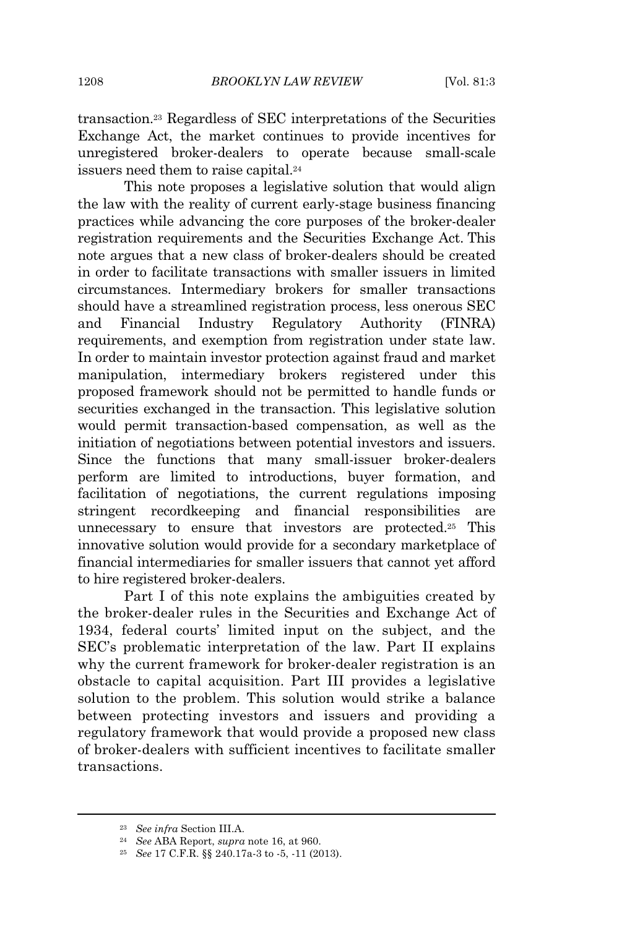transaction.<sup>23</sup> Regardless of SEC interpretations of the Securities Exchange Act, the market continues to provide incentives for unregistered broker-dealers to operate because small-scale issuers need them to raise capital.<sup>24</sup>

This note proposes a legislative solution that would align the law with the reality of current early-stage business financing practices while advancing the core purposes of the broker-dealer registration requirements and the Securities Exchange Act. This note argues that a new class of broker-dealers should be created in order to facilitate transactions with smaller issuers in limited circumstances. Intermediary brokers for smaller transactions should have a streamlined registration process, less onerous SEC and Financial Industry Regulatory Authority (FINRA) requirements, and exemption from registration under state law. In order to maintain investor protection against fraud and market manipulation, intermediary brokers registered under this proposed framework should not be permitted to handle funds or securities exchanged in the transaction. This legislative solution would permit transaction-based compensation, as well as the initiation of negotiations between potential investors and issuers. Since the functions that many small-issuer broker-dealers perform are limited to introductions, buyer formation, and facilitation of negotiations, the current regulations imposing stringent recordkeeping and financial responsibilities unnecessary to ensure that investors are protected.<sup>25</sup> This innovative solution would provide for a secondary marketplace of financial intermediaries for smaller issuers that cannot yet afford to hire registered broker-dealers.

Part I of this note explains the ambiguities created by the broker-dealer rules in the Securities and Exchange Act of 1934, federal courts' limited input on the subject, and the SEC's problematic interpretation of the law. Part II explains why the current framework for broker-dealer registration is an obstacle to capital acquisition. Part III provides a legislative solution to the problem. This solution would strike a balance between protecting investors and issuers and providing a regulatory framework that would provide a proposed new class of broker-dealers with sufficient incentives to facilitate smaller transactions.

<sup>23</sup> *See infra* Section III.A.

<sup>24</sup> *See* ABA Report, *supra* note 16, at 960.

<sup>25</sup> *See* 17 C.F.R. §§ 240.17a-3 to -5, -11 (2013).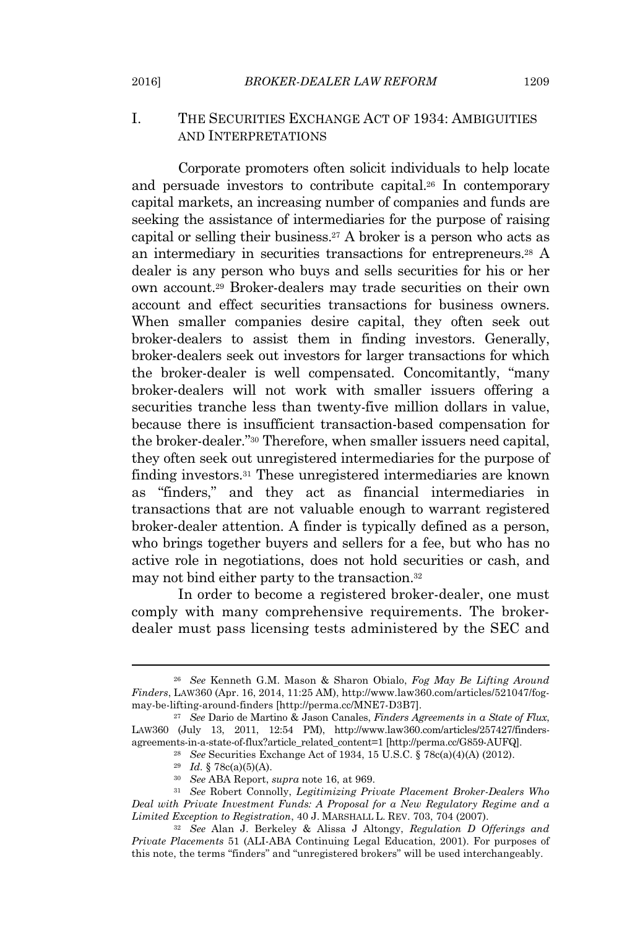## I. THE SECURITIES EXCHANGE ACT OF 1934: AMBIGUITIES AND INTERPRETATIONS

Corporate promoters often solicit individuals to help locate and persuade investors to contribute capital.<sup>26</sup> In contemporary capital markets, an increasing number of companies and funds are seeking the assistance of intermediaries for the purpose of raising capital or selling their business.<sup>27</sup> A broker is a person who acts as an intermediary in securities transactions for entrepreneurs.<sup>28</sup> A dealer is any person who buys and sells securities for his or her own account.<sup>29</sup> Broker-dealers may trade securities on their own account and effect securities transactions for business owners. When smaller companies desire capital, they often seek out broker-dealers to assist them in finding investors. Generally, broker-dealers seek out investors for larger transactions for which the broker-dealer is well compensated. Concomitantly, "many broker-dealers will not work with smaller issuers offering a securities tranche less than twenty-five million dollars in value, because there is insufficient transaction-based compensation for the broker-dealer." <sup>30</sup> Therefore, when smaller issuers need capital, they often seek out unregistered intermediaries for the purpose of finding investors.<sup>31</sup> These unregistered intermediaries are known as "finders," and they act as financial intermediaries in transactions that are not valuable enough to warrant registered broker-dealer attention. A finder is typically defined as a person, who brings together buyers and sellers for a fee, but who has no active role in negotiations, does not hold securities or cash, and may not bind either party to the transaction.<sup>32</sup>

In order to become a registered broker-dealer, one must comply with many comprehensive requirements. The brokerdealer must pass licensing tests administered by the SEC and

<sup>26</sup> *See* Kenneth G.M. Mason & Sharon Obialo, *Fog May Be Lifting Around Finders*, LAW360 (Apr. 16, 2014, 11:25 AM), http://www.law360.com/articles/521047/fogmay-be-lifting-around-finders [http://perma.cc/MNE7-D3B7].

<sup>27</sup> *See* Dario de Martino & Jason Canales, *Finders Agreements in a State of Flux*, LAW360 (July 13, 2011, 12:54 PM), http://www.law360.com/articles/257427/findersagreements-in-a-state-of-flux?article\_related\_content=1 [http://perma.cc/G859-AUFQ].

<sup>28</sup> *See* Securities Exchange Act of 1934, 15 U.S.C. § 78c(a)(4)(A) (2012).

<sup>29</sup> *Id.* § 78c(a)(5)(A).

<sup>30</sup> *See* ABA Report, *supra* note 16, at 969.

<sup>31</sup> *See* Robert Connolly, *Legitimizing Private Placement Broker-Dealers Who Deal with Private Investment Funds: A Proposal for a New Regulatory Regime and a Limited Exception to Registration*, 40 J. MARSHALL L. REV. 703, 704 (2007).

<sup>32</sup> *See* Alan J. Berkeley & Alissa J Altongy, *Regulation D Offerings and Private Placements* 51 (ALI-ABA Continuing Legal Education, 2001). For purposes of this note, the terms "finders" and "unregistered brokers" will be used interchangeably.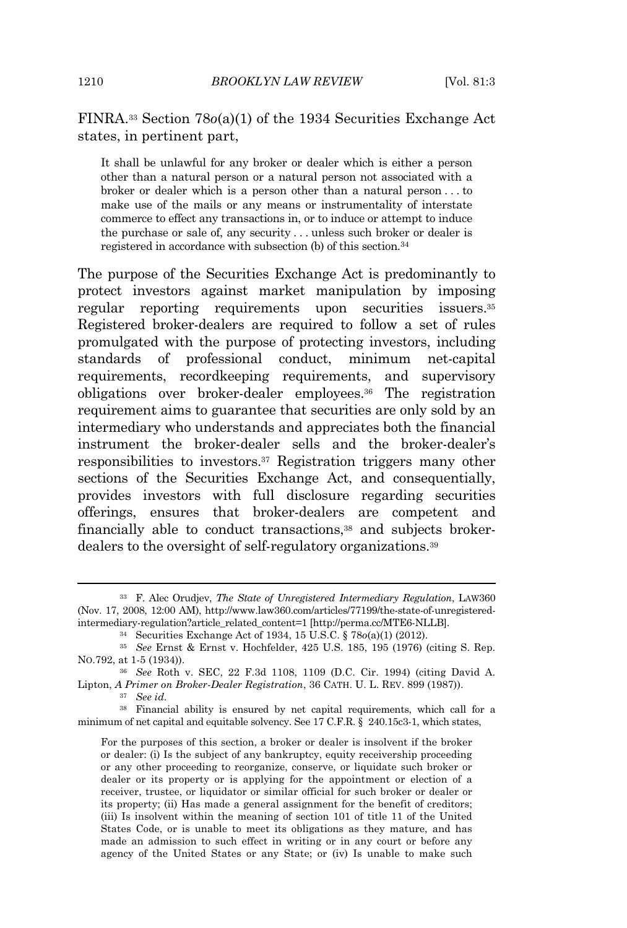FINRA.<sup>33</sup> Section 78*o*(a)(1) of the 1934 Securities Exchange Act states, in pertinent part,

It shall be unlawful for any broker or dealer which is either a person other than a natural person or a natural person not associated with a broker or dealer which is a person other than a natural person . . . to make use of the mails or any means or instrumentality of interstate commerce to effect any transactions in, or to induce or attempt to induce the purchase or sale of, any security . . . unless such broker or dealer is registered in accordance with subsection (b) of this section.<sup>34</sup>

The purpose of the Securities Exchange Act is predominantly to protect investors against market manipulation by imposing regular reporting requirements upon securities issuers.<sup>35</sup> Registered broker-dealers are required to follow a set of rules promulgated with the purpose of protecting investors, including standards of professional conduct, minimum net-capital requirements, recordkeeping requirements, and supervisory obligations over broker-dealer employees.<sup>36</sup> The registration requirement aims to guarantee that securities are only sold by an intermediary who understands and appreciates both the financial instrument the broker-dealer sells and the broker-dealer's responsibilities to investors.<sup>37</sup> Registration triggers many other sections of the Securities Exchange Act, and consequentially, provides investors with full disclosure regarding securities offerings, ensures that broker-dealers are competent and financially able to conduct transactions,<sup>38</sup> and subjects brokerdealers to the oversight of self-regulatory organizations.<sup>39</sup>

<sup>37</sup> *See id.*

<sup>38</sup> Financial ability is ensured by net capital requirements, which call for a minimum of net capital and equitable solvency. See 17 C.F.R. § 240.15c3-1, which states,

For the purposes of this section, a broker or dealer is insolvent if the broker or dealer: (i) Is the subject of any bankruptcy, equity receivership proceeding or any other proceeding to reorganize, conserve, or liquidate such broker or dealer or its property or is applying for the appointment or election of a receiver, trustee, or liquidator or similar official for such broker or dealer or its property; (ii) Has made a general assignment for the benefit of creditors; (iii) Is insolvent within the meaning of section 101 of title 11 of the United States Code, or is unable to meet its obligations as they mature, and has made an admission to such effect in writing or in any court or before any agency of the United States or any State; or (iv) Is unable to make such

<sup>33</sup> F. Alec Orudjev, *The State of Unregistered Intermediary Regulation*, LAW360 (Nov. 17, 2008, 12:00 AM), http://www.law360.com/articles/77199/the-state-of-unregisteredintermediary-regulation?article\_related\_content=1 [http://perma.cc/MTE6-NLLB].

<sup>34</sup> Securities Exchange Act of 1934, 15 U.S.C. § 78*o*(a)(1) (2012).

<sup>35</sup> *See* Ernst & Ernst v. Hochfelder, 425 U.S. 185, 195 (1976) (citing S. Rep. NO.792, at 1-5 (1934)).

<sup>36</sup> *See* Roth v. SEC, 22 F.3d 1108, 1109 (D.C. Cir. 1994) (citing David A. Lipton, *A Primer on Broker-Dealer Registration*, 36 CATH. U. L. REV. 899 (1987)).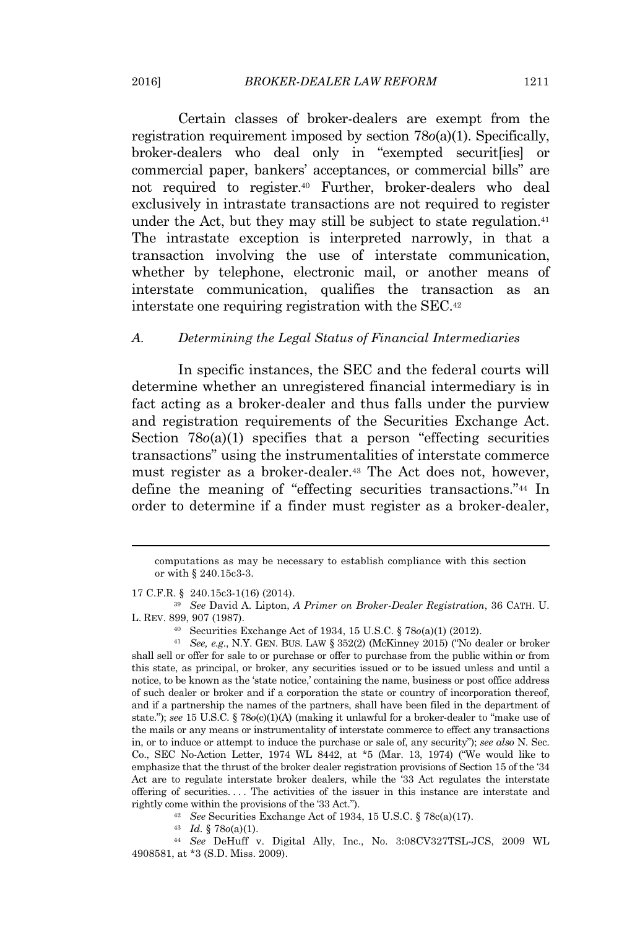Certain classes of broker-dealers are exempt from the registration requirement imposed by section 78*o*(a)(1). Specifically, broker-dealers who deal only in "exempted securit[ies] or commercial paper, bankers' acceptances, or commercial bills" are not required to register.<sup>40</sup> Further, broker-dealers who deal exclusively in intrastate transactions are not required to register under the Act, but they may still be subject to state regulation.<sup>41</sup> The intrastate exception is interpreted narrowly, in that a transaction involving the use of interstate communication, whether by telephone, electronic mail, or another means of interstate communication, qualifies the transaction as an interstate one requiring registration with the SEC.<sup>42</sup>

#### *A. Determining the Legal Status of Financial Intermediaries*

In specific instances, the SEC and the federal courts will determine whether an unregistered financial intermediary is in fact acting as a broker-dealer and thus falls under the purview and registration requirements of the Securities Exchange Act. Section 78*o*(a)(1) specifies that a person "effecting securities transactions" using the instrumentalities of interstate commerce must register as a broker-dealer.<sup>43</sup> The Act does not, however, define the meaning of "effecting securities transactions." <sup>44</sup> In order to determine if a finder must register as a broker-dealer,

17 C.F.R. § 240.15c3-1(16) (2014).

<sup>44</sup> *See* DeHuff v. Digital Ally, Inc., No. 3:08CV327TSL-JCS, 2009 WL 4908581, at \*3 (S.D. Miss. 2009).

computations as may be necessary to establish compliance with this section or with § 240.15c3-3.

<sup>39</sup> *See* David A. Lipton, *A Primer on Broker-Dealer Registration*, 36 CATH. U. L. REV. 899, 907 (1987).

<sup>40</sup> Securities Exchange Act of 1934, 15 U.S.C. § 78*o*(a)(1) (2012).

<sup>41</sup> *See, e.g.*, N.Y. GEN. BUS. LAW § 352(2) (McKinney 2015) ("No dealer or broker shall sell or offer for sale to or purchase or offer to purchase from the public within or from this state, as principal, or broker, any securities issued or to be issued unless and until a notice, to be known as the 'state notice,' containing the name, business or post office address of such dealer or broker and if a corporation the state or country of incorporation thereof, and if a partnership the names of the partners, shall have been filed in the department of state."); *see* 15 U.S.C. § 78*o*(c)(1)(A) (making it unlawful for a broker-dealer to "make use of the mails or any means or instrumentality of interstate commerce to effect any transactions in, or to induce or attempt to induce the purchase or sale of, any security"); *see also* N. Sec. Co., SEC No-Action Letter, 1974 WL 8442, at \*5 (Mar. 13, 1974) ("We would like to emphasize that the thrust of the broker dealer registration provisions of Section 15 of the '34 Act are to regulate interstate broker dealers, while the '33 Act regulates the interstate offering of securities. . . . The activities of the issuer in this instance are interstate and rightly come within the provisions of the '33 Act.").

<sup>42</sup> *See* Securities Exchange Act of 1934, 15 U.S.C. § 78c(a)(17).

<sup>43</sup> *Id.* § 78*o*(a)(1).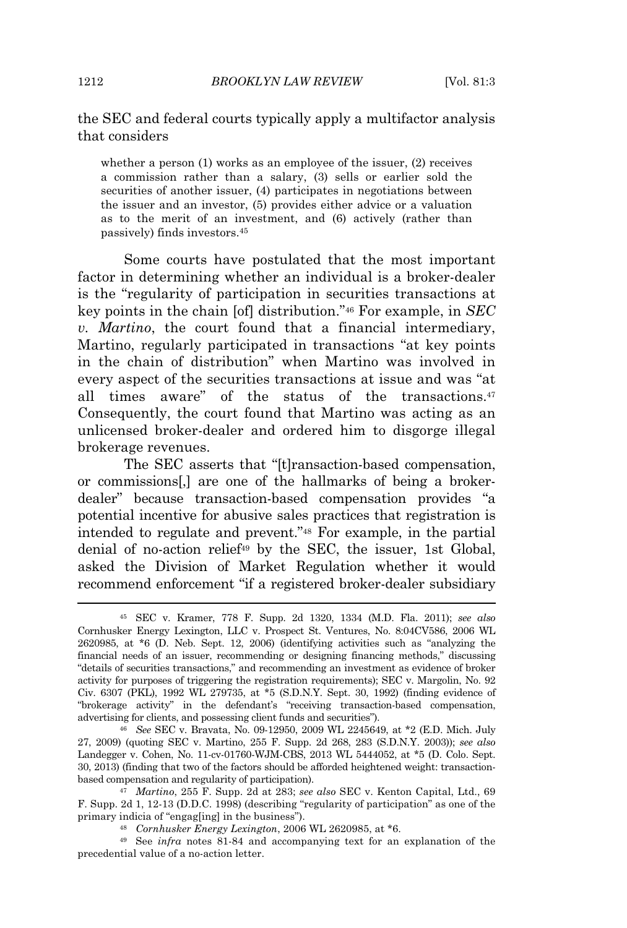## the SEC and federal courts typically apply a multifactor analysis that considers

whether a person (1) works as an employee of the issuer, (2) receives a commission rather than a salary, (3) sells or earlier sold the securities of another issuer, (4) participates in negotiations between the issuer and an investor, (5) provides either advice or a valuation as to the merit of an investment, and (6) actively (rather than passively) finds investors.<sup>45</sup>

Some courts have postulated that the most important factor in determining whether an individual is a broker-dealer is the "regularity of participation in securities transactions at key points in the chain [of] distribution." <sup>46</sup> For example, in *SEC v. Martino*, the court found that a financial intermediary, Martino, regularly participated in transactions "at key points in the chain of distribution" when Martino was involved in every aspect of the securities transactions at issue and was "at all times aware" of the status of the transactions.<sup>47</sup> Consequently, the court found that Martino was acting as an unlicensed broker-dealer and ordered him to disgorge illegal brokerage revenues.

The SEC asserts that "[t]ransaction-based compensation, or commissions[,] are one of the hallmarks of being a brokerdealer" because transaction-based compensation provides "a potential incentive for abusive sales practices that registration is intended to regulate and prevent." <sup>48</sup> For example, in the partial denial of no-action relief<sup>49</sup> by the SEC, the issuer, 1st Global, asked the Division of Market Regulation whether it would recommend enforcement "if a registered broker-dealer subsidiary

<sup>45</sup> SEC v. Kramer, 778 F. Supp. 2d 1320, 1334 (M.D. Fla. 2011); *see also* Cornhusker Energy Lexington, LLC v. Prospect St. Ventures, No. 8:04CV586, 2006 WL 2620985, at \*6 (D. Neb. Sept. 12, 2006) (identifying activities such as "analyzing the financial needs of an issuer, recommending or designing financing methods," discussing "details of securities transactions," and recommending an investment as evidence of broker activity for purposes of triggering the registration requirements); SEC v. Margolin, No. 92 Civ. 6307 (PKL), 1992 WL 279735, at \*5 (S.D.N.Y. Sept. 30, 1992) (finding evidence of "brokerage activity" in the defendant's "receiving transaction-based compensation, advertising for clients, and possessing client funds and securities").

<sup>46</sup> *See* SEC v. Bravata, No. 09-12950, 2009 WL 2245649, at \*2 (E.D. Mich. July 27, 2009) (quoting SEC v. Martino, 255 F. Supp. 2d 268, 283 (S.D.N.Y. 2003)); *see also* Landegger v. Cohen, No. 11-cv-01760-WJM-CBS, 2013 WL 5444052, at \*5 (D. Colo. Sept. 30, 2013) (finding that two of the factors should be afforded heightened weight: transactionbased compensation and regularity of participation).

<sup>47</sup> *Martino*, 255 F. Supp. 2d at 283; *see also* SEC v. Kenton Capital, Ltd., 69 F. Supp. 2d 1, 12-13 (D.D.C. 1998) (describing "regularity of participation" as one of the primary indicia of "engag[ing] in the business").

<sup>48</sup> *Cornhusker Energy Lexington*, 2006 WL 2620985, at \*6.

<sup>49</sup> See *infra* notes 81-84 and accompanying text for an explanation of the precedential value of a no-action letter.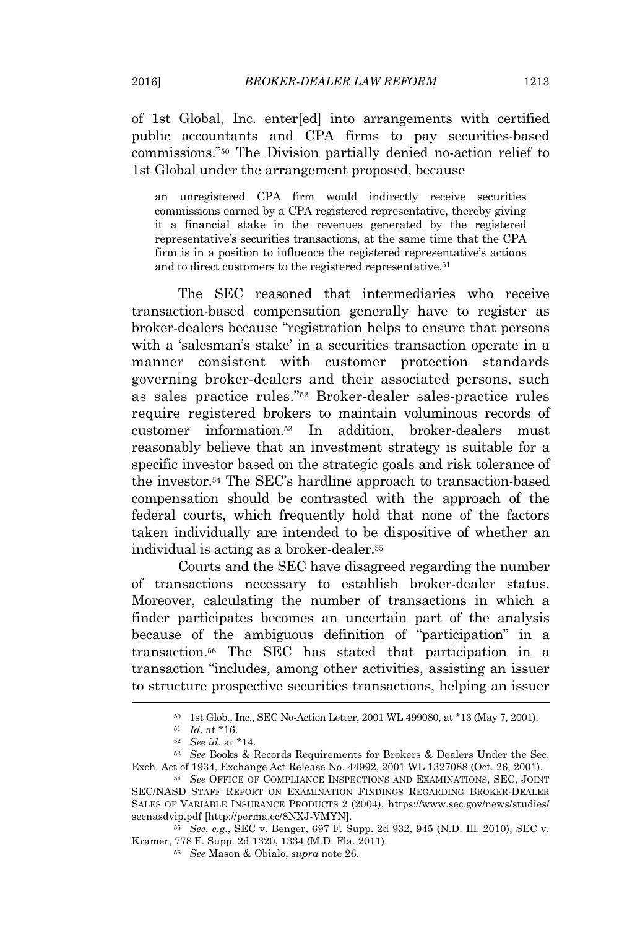of 1st Global, Inc. enter[ed] into arrangements with certified public accountants and CPA firms to pay securities-based commissions." <sup>50</sup> The Division partially denied no-action relief to 1st Global under the arrangement proposed, because

an unregistered CPA firm would indirectly receive securities commissions earned by a CPA registered representative, thereby giving it a financial stake in the revenues generated by the registered representative's securities transactions, at the same time that the CPA firm is in a position to influence the registered representative's actions and to direct customers to the registered representative.<sup>51</sup>

The SEC reasoned that intermediaries who receive transaction-based compensation generally have to register as broker-dealers because "registration helps to ensure that persons with a 'salesman's stake' in a securities transaction operate in a manner consistent with customer protection standards governing broker-dealers and their associated persons, such as sales practice rules." <sup>52</sup> Broker-dealer sales-practice rules require registered brokers to maintain voluminous records of customer information.<sup>53</sup> In addition, broker-dealers must reasonably believe that an investment strategy is suitable for a specific investor based on the strategic goals and risk tolerance of the investor.<sup>54</sup> The SEC's hardline approach to transaction-based compensation should be contrasted with the approach of the federal courts, which frequently hold that none of the factors taken individually are intended to be dispositive of whether an individual is acting as a broker-dealer.<sup>55</sup>

Courts and the SEC have disagreed regarding the number of transactions necessary to establish broker-dealer status. Moreover, calculating the number of transactions in which a finder participates becomes an uncertain part of the analysis because of the ambiguous definition of "participation" in a transaction.<sup>56</sup> The SEC has stated that participation in a transaction "includes, among other activities, assisting an issuer to structure prospective securities transactions, helping an issuer

<sup>50</sup> 1st Glob., Inc., SEC No-Action Letter, 2001 WL 499080, at \*13 (May 7, 2001).

<sup>51</sup> *Id*. at \*16.

<sup>52</sup> *See id.* at \*14.

<sup>53</sup> *See* Books & Records Requirements for Brokers & Dealers Under the Sec. Exch. Act of 1934, Exchange Act Release No. 44992, 2001 WL 1327088 (Oct. 26, 2001).

<sup>54</sup> *See* OFFICE OF COMPLIANCE INSPECTIONS AND EXAMINATIONS, SEC, JOINT SEC/NASD STAFF REPORT ON EXAMINATION FINDINGS REGARDING BROKER-DEALER SALES OF VARIABLE INSURANCE PRODUCTS 2 (2004), https://www.sec.gov/news/studies/ secnasdvip.pdf [http://perma.cc/8NXJ-VMYN].

<sup>55</sup> *See, e.g.*, SEC v. Benger, 697 F. Supp. 2d 932, 945 (N.D. Ill. 2010); SEC v. Kramer, 778 F. Supp. 2d 1320, 1334 (M.D. Fla. 2011).

<sup>56</sup> *See* Mason & Obialo, *supra* note 26.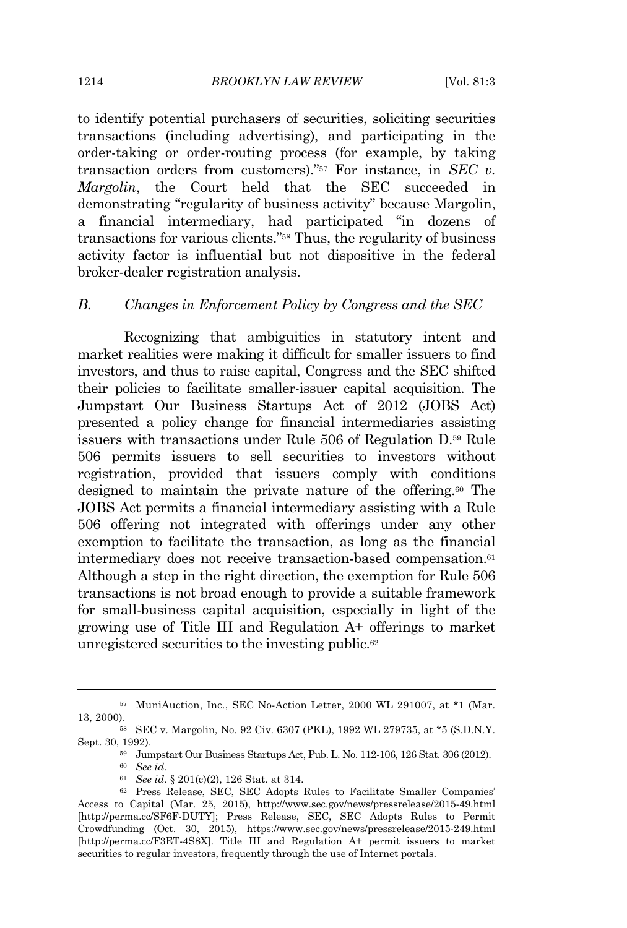to identify potential purchasers of securities, soliciting securities transactions (including advertising), and participating in the order-taking or order-routing process (for example, by taking transaction orders from customers)." <sup>57</sup> For instance, in *SEC v. Margolin*, the Court held that the SEC succeeded in demonstrating "regularity of business activity" because Margolin, a financial intermediary, had participated "in dozens of transactions for various clients." <sup>58</sup> Thus, the regularity of business activity factor is influential but not dispositive in the federal broker-dealer registration analysis.

### *B. Changes in Enforcement Policy by Congress and the SEC*

Recognizing that ambiguities in statutory intent and market realities were making it difficult for smaller issuers to find investors, and thus to raise capital, Congress and the SEC shifted their policies to facilitate smaller-issuer capital acquisition. The Jumpstart Our Business Startups Act of 2012 (JOBS Act) presented a policy change for financial intermediaries assisting issuers with transactions under Rule 506 of Regulation D.<sup>59</sup> Rule 506 permits issuers to sell securities to investors without registration, provided that issuers comply with conditions designed to maintain the private nature of the offering.<sup>60</sup> The JOBS Act permits a financial intermediary assisting with a Rule 506 offering not integrated with offerings under any other exemption to facilitate the transaction, as long as the financial intermediary does not receive transaction-based compensation.<sup>61</sup> Although a step in the right direction, the exemption for Rule 506 transactions is not broad enough to provide a suitable framework for small-business capital acquisition, especially in light of the growing use of Title III and Regulation A+ offerings to market unregistered securities to the investing public.<sup>62</sup>

<sup>57</sup> MuniAuction, Inc., SEC No-Action Letter, 2000 WL 291007, at \*1 (Mar. 13, 2000).

<sup>58</sup> SEC v. Margolin, No. 92 Civ. 6307 (PKL), 1992 WL 279735, at \*5 (S.D.N.Y. Sept. 30, 1992).

<sup>59</sup> Jumpstart Our Business Startups Act, Pub. L. No. 112-106, 126 Stat. 306 (2012).

<sup>60</sup> *See id.*

<sup>61</sup> *See id.* § 201(c)(2), 126 Stat. at 314.

<sup>62</sup> Press Release, SEC, SEC Adopts Rules to Facilitate Smaller Companies' Access to Capital (Mar. 25, 2015), http://www.sec.gov/news/pressrelease/2015-49.html [http://perma.cc/SF6F-DUTY]; Press Release, SEC, SEC Adopts Rules to Permit Crowdfunding (Oct. 30, 2015), https://www.sec.gov/news/pressrelease/2015-249.html [http://perma.cc/F3ET-4S8X]. Title III and Regulation A+ permit issuers to market securities to regular investors, frequently through the use of Internet portals.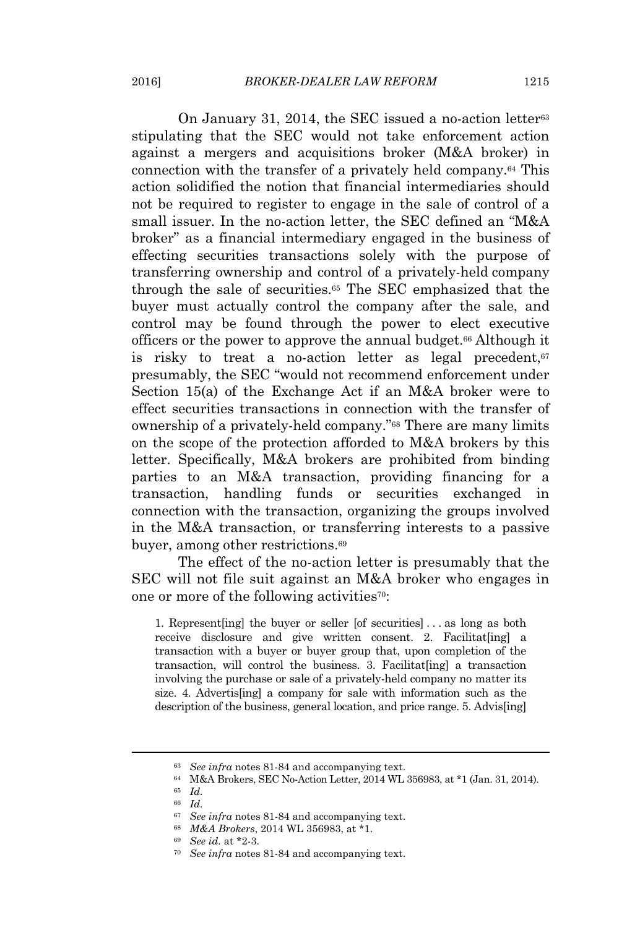On January 31, 2014, the SEC issued a no-action letter<sup>63</sup> stipulating that the SEC would not take enforcement action against a mergers and acquisitions broker (M&A broker) in connection with the transfer of a privately held company.<sup>64</sup> This action solidified the notion that financial intermediaries should not be required to register to engage in the sale of control of a small issuer. In the no-action letter, the SEC defined an "M&A broker" as a financial intermediary engaged in the business of effecting securities transactions solely with the purpose of transferring ownership and control of a privately-held company through the sale of securities.<sup>65</sup> The SEC emphasized that the buyer must actually control the company after the sale, and control may be found through the power to elect executive officers or the power to approve the annual budget.<sup>66</sup> Although it is risky to treat a no-action letter as legal precedent,<sup>67</sup> presumably, the SEC "would not recommend enforcement under Section 15(a) of the Exchange Act if an M&A broker were to effect securities transactions in connection with the transfer of ownership of a privately-held company." <sup>68</sup> There are many limits on the scope of the protection afforded to M&A brokers by this letter. Specifically, M&A brokers are prohibited from binding parties to an M&A transaction, providing financing for a transaction, handling funds or securities exchanged in connection with the transaction, organizing the groups involved in the M&A transaction, or transferring interests to a passive buyer, among other restrictions.<sup>69</sup>

The effect of the no-action letter is presumably that the SEC will not file suit against an M&A broker who engages in one or more of the following activities70:

1. Represent[ing] the buyer or seller [of securities] . . . as long as both receive disclosure and give written consent. 2. Facilitat [ing] a transaction with a buyer or buyer group that, upon completion of the transaction, will control the business. 3. Facilitat[ing] a transaction involving the purchase or sale of a privately-held company no matter its size. 4. Advertis[ing] a company for sale with information such as the description of the business, general location, and price range. 5. Advis[ing]

<sup>63</sup> *See infra* notes 81-84 and accompanying text.

<sup>64</sup> M&A Brokers, SEC No-Action Letter, 2014 WL 356983, at \*1 (Jan. 31, 2014).

<sup>65</sup> *Id.*

<sup>66</sup> *Id.*

<sup>67</sup> *See infra* notes 81-84 and accompanying text.

<sup>68</sup> *M&A Brokers*, 2014 WL 356983, at \*1.

<sup>69</sup> *See id.* at \*2-3.

<sup>70</sup> *See infra* notes 81-84 and accompanying text.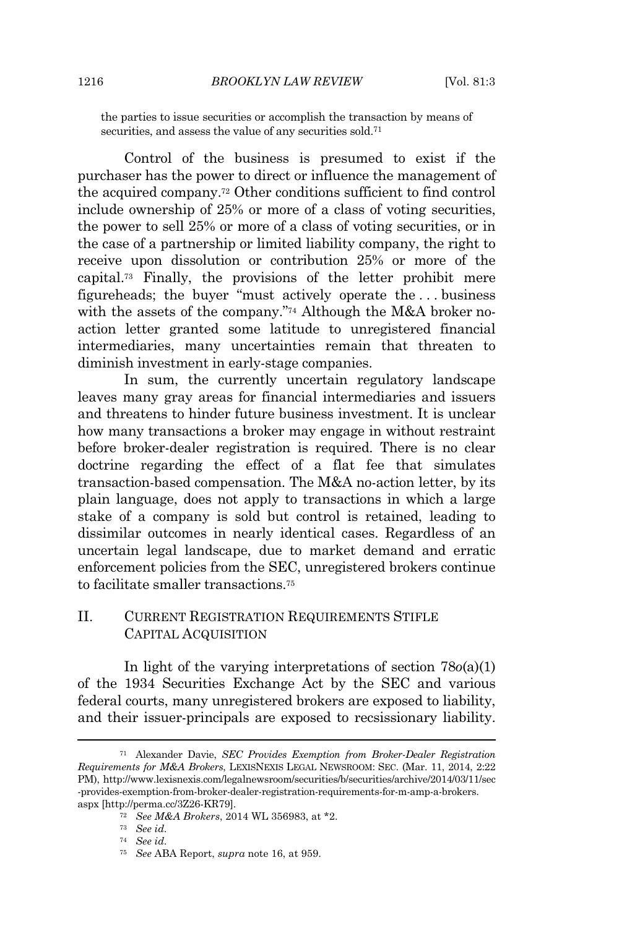the parties to issue securities or accomplish the transaction by means of securities, and assess the value of any securities sold.<sup>71</sup>

Control of the business is presumed to exist if the purchaser has the power to direct or influence the management of the acquired company.<sup>72</sup> Other conditions sufficient to find control include ownership of 25% or more of a class of voting securities, the power to sell 25% or more of a class of voting securities, or in the case of a partnership or limited liability company, the right to receive upon dissolution or contribution 25% or more of the capital.<sup>73</sup> Finally, the provisions of the letter prohibit mere figureheads; the buyer "must actively operate the . . . business with the assets of the company." <sup>74</sup> Although the M&A broker noaction letter granted some latitude to unregistered financial intermediaries, many uncertainties remain that threaten to diminish investment in early-stage companies.

In sum, the currently uncertain regulatory landscape leaves many gray areas for financial intermediaries and issuers and threatens to hinder future business investment. It is unclear how many transactions a broker may engage in without restraint before broker-dealer registration is required. There is no clear doctrine regarding the effect of a flat fee that simulates transaction-based compensation. The M&A no-action letter, by its plain language, does not apply to transactions in which a large stake of a company is sold but control is retained, leading to dissimilar outcomes in nearly identical cases. Regardless of an uncertain legal landscape, due to market demand and erratic enforcement policies from the SEC, unregistered brokers continue to facilitate smaller transactions<sup>75</sup>

## II. CURRENT REGISTRATION REQUIREMENTS STIFLE CAPITAL ACQUISITION

In light of the varying interpretations of section 78*o*(a)(1) of the 1934 Securities Exchange Act by the SEC and various federal courts, many unregistered brokers are exposed to liability, and their issuer-principals are exposed to recsissionary liability.

<sup>71</sup> Alexander Davie, *SEC Provides Exemption from Broker-Dealer Registration Requirements for M&A Brokers*, LEXISNEXIS LEGAL NEWSROOM: SEC. (Mar. 11, 2014, 2:22 PM), http://www.lexisnexis.com/legalnewsroom/securities/b/securities/archive/2014/03/11/sec -provides-exemption-from-broker-dealer-registration-requirements-for-m-amp-a-brokers. aspx [http://perma.cc/3Z26-KR79].

<sup>72</sup> *See M&A Brokers*, 2014 WL 356983, at \*2.

<sup>73</sup> *See id.*

<sup>74</sup> *See id.*

<sup>75</sup> *See* ABA Report, *supra* note 16, at 959.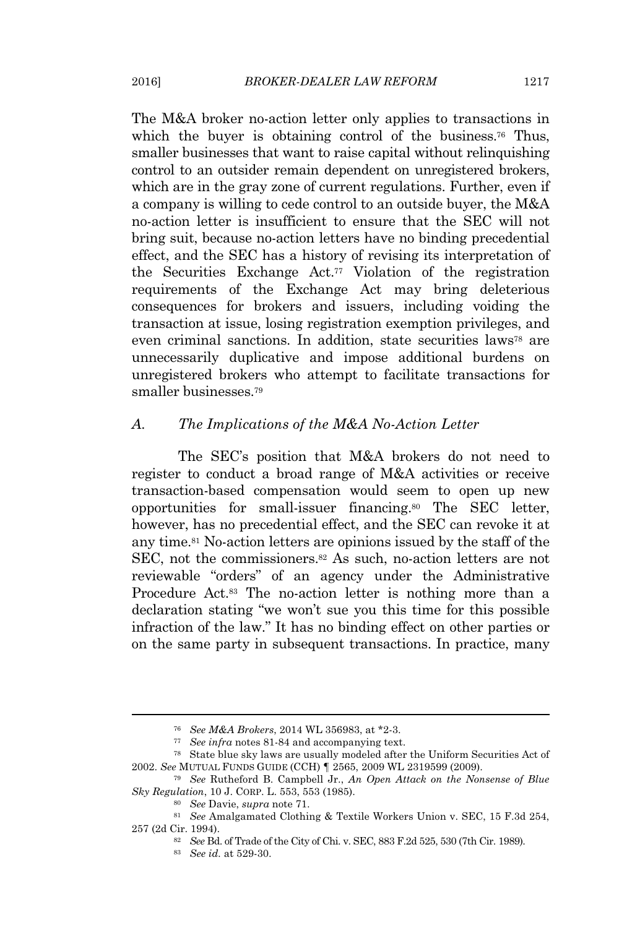The M&A broker no-action letter only applies to transactions in which the buyer is obtaining control of the business.<sup>76</sup> Thus, smaller businesses that want to raise capital without relinquishing control to an outsider remain dependent on unregistered brokers, which are in the gray zone of current regulations. Further, even if a company is willing to cede control to an outside buyer, the M&A no-action letter is insufficient to ensure that the SEC will not bring suit, because no-action letters have no binding precedential effect, and the SEC has a history of revising its interpretation of the Securities Exchange Act.<sup>77</sup> Violation of the registration requirements of the Exchange Act may bring deleterious consequences for brokers and issuers, including voiding the transaction at issue, losing registration exemption privileges, and even criminal sanctions. In addition, state securities laws<sup>78</sup> are unnecessarily duplicative and impose additional burdens on unregistered brokers who attempt to facilitate transactions for smaller businesses.<sup>79</sup>

## *A. The Implications of the M&A No-Action Letter*

The SEC's position that M&A brokers do not need to register to conduct a broad range of M&A activities or receive transaction-based compensation would seem to open up new opportunities for small-issuer financing.<sup>80</sup> The SEC letter, however, has no precedential effect, and the SEC can revoke it at any time.<sup>81</sup> No-action letters are opinions issued by the staff of the SEC, not the commissioners.<sup>82</sup> As such, no-action letters are not reviewable "orders" of an agency under the Administrative Procedure Act.<sup>83</sup> The no-action letter is nothing more than a declaration stating "we won't sue you this time for this possible infraction of the law." It has no binding effect on other parties or on the same party in subsequent transactions. In practice, many

<sup>76</sup> *See M&A Brokers*, 2014 WL 356983, at \*2-3.

<sup>77</sup> *See infra* notes 81-84 and accompanying text.

<sup>78</sup> State blue sky laws are usually modeled after the Uniform Securities Act of 2002. *See* MUTUAL FUNDS GUIDE (CCH) *¶* 2565, 2009 WL 2319599 (2009).

<sup>79</sup> *See* Rutheford B. Campbell Jr., *An Open Attack on the Nonsense of Blue Sky Regulation*, 10 J. CORP. L. 553, 553 (1985).

<sup>80</sup> *See* Davie, *supra* note 71.

<sup>81</sup> *See* Amalgamated Clothing & Textile Workers Union v. SEC, 15 F.3d 254, 257 (2d Cir. 1994).

<sup>82</sup> *See* Bd. of Trade of the City of Chi. v. SEC, 883 F.2d 525, 530 (7th Cir. 1989).

<sup>83</sup> *See id.* at 529-30.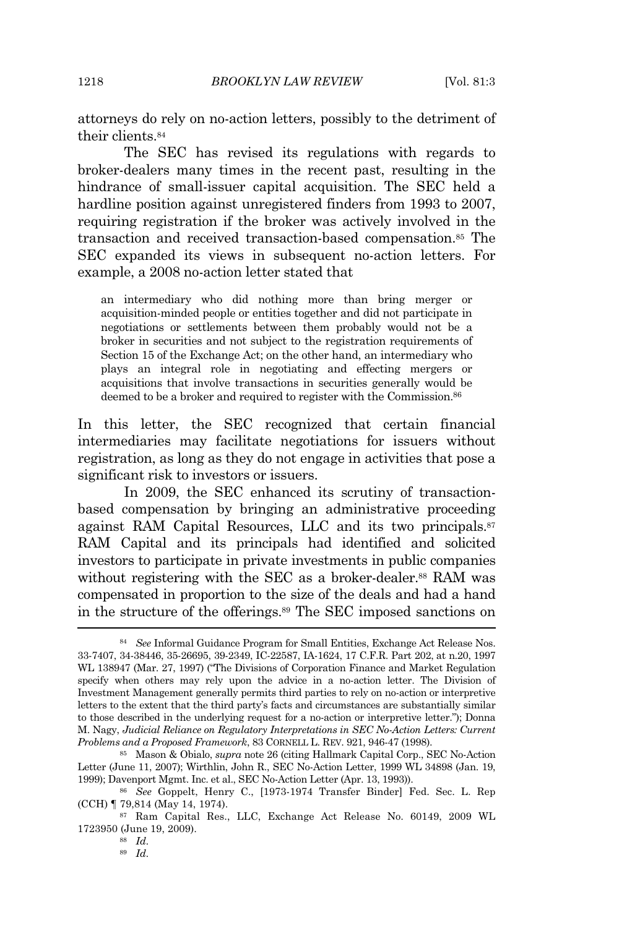attorneys do rely on no-action letters, possibly to the detriment of their clients.<sup>84</sup>

The SEC has revised its regulations with regards to broker-dealers many times in the recent past, resulting in the hindrance of small-issuer capital acquisition. The SEC held a hardline position against unregistered finders from 1993 to 2007, requiring registration if the broker was actively involved in the transaction and received transaction-based compensation.<sup>85</sup> The SEC expanded its views in subsequent no-action letters. For example, a 2008 no-action letter stated that

an intermediary who did nothing more than bring merger or acquisition-minded people or entities together and did not participate in negotiations or settlements between them probably would not be a broker in securities and not subject to the registration requirements of Section 15 of the Exchange Act; on the other hand, an intermediary who plays an integral role in negotiating and effecting mergers or acquisitions that involve transactions in securities generally would be deemed to be a broker and required to register with the Commission.<sup>86</sup>

In this letter, the SEC recognized that certain financial intermediaries may facilitate negotiations for issuers without registration, as long as they do not engage in activities that pose a significant risk to investors or issuers.

In 2009, the SEC enhanced its scrutiny of transactionbased compensation by bringing an administrative proceeding against RAM Capital Resources, LLC and its two principals.<sup>87</sup> RAM Capital and its principals had identified and solicited investors to participate in private investments in public companies without registering with the SEC as a broker-dealer.<sup>88</sup> RAM was compensated in proportion to the size of the deals and had a hand in the structure of the offerings.<sup>89</sup> The SEC imposed sanctions on

<sup>84</sup> *See* Informal Guidance Program for Small Entities, Exchange Act Release Nos. 33-7407, 34-38446, 35-26695, 39-2349, IC-22587, IA-1624, 17 C.F.R. Part 202, at n.20, 1997 WL 138947 (Mar. 27, 1997) ("The Divisions of Corporation Finance and Market Regulation specify when others may rely upon the advice in a no-action letter. The Division of Investment Management generally permits third parties to rely on no-action or interpretive letters to the extent that the third party's facts and circumstances are substantially similar to those described in the underlying request for a no-action or interpretive letter."); Donna M. Nagy, *Judicial Reliance on Regulatory Interpretations in SEC No-Action Letters: Current Problems and a Proposed Framework*, 83 CORNELL L. REV. 921, 946-47 (1998).

<sup>85</sup> Mason & Obialo, *supra* note 26 (citing Hallmark Capital Corp., SEC No-Action Letter (June 11, 2007); Wirthlin, John R., SEC No-Action Letter, 1999 WL 34898 (Jan. 19, 1999); Davenport Mgmt. Inc. et al., SEC No-Action Letter (Apr. 13, 1993)).

<sup>86</sup> *See* Goppelt, Henry C., [1973-1974 Transfer Binder] Fed. Sec. L. Rep (CCH) ¶ 79,814 (May 14, 1974).

<sup>87</sup> Ram Capital Res., LLC, Exchange Act Release No. 60149, 2009 WL 1723950 (June 19, 2009).

<sup>88</sup> *Id.*

<sup>89</sup> *Id.*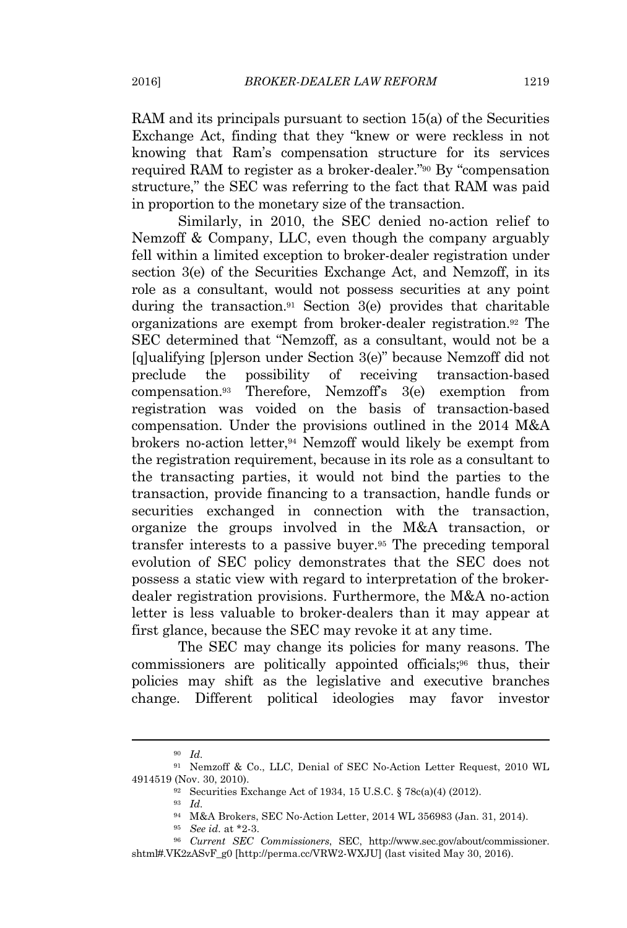RAM and its principals pursuant to section 15(a) of the Securities Exchange Act, finding that they "knew or were reckless in not knowing that Ram's compensation structure for its services required RAM to register as a broker-dealer."<sup>90</sup> By "compensation structure," the SEC was referring to the fact that RAM was paid in proportion to the monetary size of the transaction.

Similarly, in 2010, the SEC denied no-action relief to Nemzoff & Company, LLC, even though the company arguably fell within a limited exception to broker-dealer registration under section 3(e) of the Securities Exchange Act, and Nemzoff, in its role as a consultant, would not possess securities at any point during the transaction.<sup>91</sup> Section  $3(e)$  provides that charitable organizations are exempt from broker-dealer registration.<sup>92</sup> The SEC determined that "Nemzoff, as a consultant, would not be a [q]ualifying [p]erson under Section 3(e)" because Nemzoff did not preclude the possibility of receiving transaction-based compensation.<sup>93</sup> Therefore, Nemzoff's 3(e) exemption from registration was voided on the basis of transaction-based compensation. Under the provisions outlined in the 2014 M&A brokers no-action letter,<sup>94</sup> Nemzoff would likely be exempt from the registration requirement, because in its role as a consultant to the transacting parties, it would not bind the parties to the transaction, provide financing to a transaction, handle funds or securities exchanged in connection with the transaction, organize the groups involved in the M&A transaction, or transfer interests to a passive buyer.<sup>95</sup> The preceding temporal evolution of SEC policy demonstrates that the SEC does not possess a static view with regard to interpretation of the brokerdealer registration provisions. Furthermore, the M&A no-action letter is less valuable to broker-dealers than it may appear at first glance, because the SEC may revoke it at any time.

The SEC may change its policies for many reasons. The commissioners are politically appointed officials;<sup>96</sup> thus, their policies may shift as the legislative and executive branches change. Different political ideologies may favor investor

<sup>90</sup> *Id.*

<sup>91</sup> Nemzoff & Co., LLC, Denial of SEC No-Action Letter Request, 2010 WL 4914519 (Nov. 30, 2010).

<sup>92</sup> Securities Exchange Act of 1934, 15 U.S.C. § 78c(a)(4) (2012).

<sup>93</sup> *Id.*

<sup>94</sup> M&A Brokers, SEC No-Action Letter, 2014 WL 356983 (Jan. 31, 2014).

<sup>95</sup> *See id.* at \*2-3.

<sup>96</sup> *Current SEC Commissioners*, SEC, http://www.sec.gov/about/commissioner. shtml#.VK2zASvF\_g0 [http://perma.cc/VRW2-WXJU] (last visited May 30, 2016).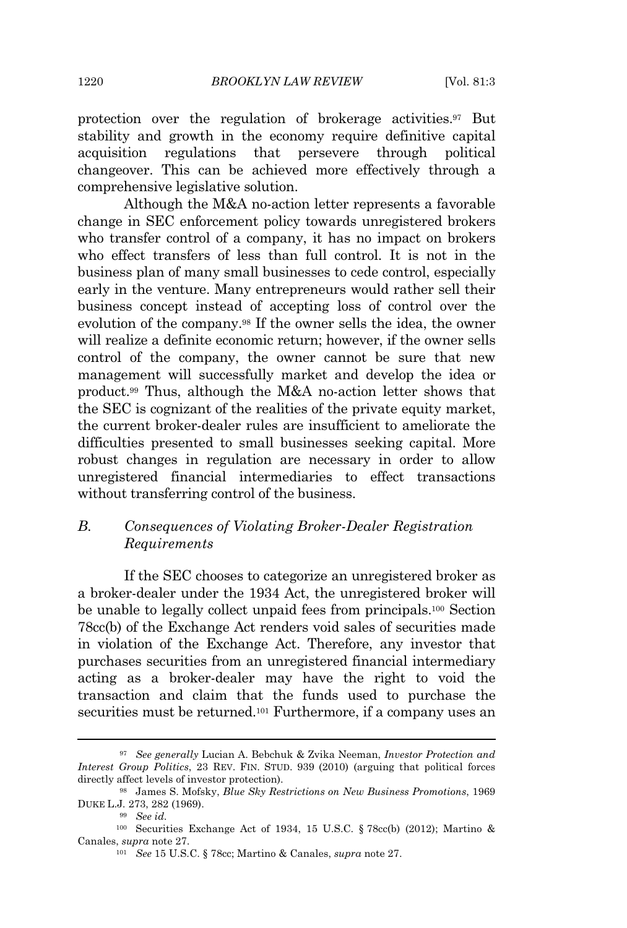protection over the regulation of brokerage activities.<sup>97</sup> But stability and growth in the economy require definitive capital acquisition regulations that persevere through political changeover. This can be achieved more effectively through a comprehensive legislative solution.

Although the M&A no-action letter represents a favorable change in SEC enforcement policy towards unregistered brokers who transfer control of a company, it has no impact on brokers who effect transfers of less than full control. It is not in the business plan of many small businesses to cede control, especially early in the venture. Many entrepreneurs would rather sell their business concept instead of accepting loss of control over the evolution of the company.<sup>98</sup> If the owner sells the idea, the owner will realize a definite economic return; however, if the owner sells control of the company, the owner cannot be sure that new management will successfully market and develop the idea or product.<sup>99</sup> Thus, although the M&A no-action letter shows that the SEC is cognizant of the realities of the private equity market, the current broker-dealer rules are insufficient to ameliorate the difficulties presented to small businesses seeking capital. More robust changes in regulation are necessary in order to allow unregistered financial intermediaries to effect transactions without transferring control of the business.

## *B. Consequences of Violating Broker-Dealer Registration Requirements*

If the SEC chooses to categorize an unregistered broker as a broker-dealer under the 1934 Act, the unregistered broker will be unable to legally collect unpaid fees from principals.<sup>100</sup> Section 78cc(b) of the Exchange Act renders void sales of securities made in violation of the Exchange Act. Therefore, any investor that purchases securities from an unregistered financial intermediary acting as a broker-dealer may have the right to void the transaction and claim that the funds used to purchase the securities must be returned.<sup>101</sup> Furthermore, if a company uses an

<sup>97</sup> *See generally* Lucian A. Bebchuk & Zvika Neeman, *Investor Protection and Interest Group Politics*, 23 REV. FIN. STUD. 939 (2010) (arguing that political forces directly affect levels of investor protection).

<sup>98</sup> James S. Mofsky, *Blue Sky Restrictions on New Business Promotions*, 1969 DUKE L.J*.* 273, 282 (1969).

<sup>99</sup> *See id.*

<sup>100</sup> Securities Exchange Act of 1934, 15 U.S.C. § 78cc(b) (2012); Martino & Canales, *supra* note 27.

<sup>101</sup> *See* 15 U.S.C. § 78cc; Martino & Canales, *supra* note 27.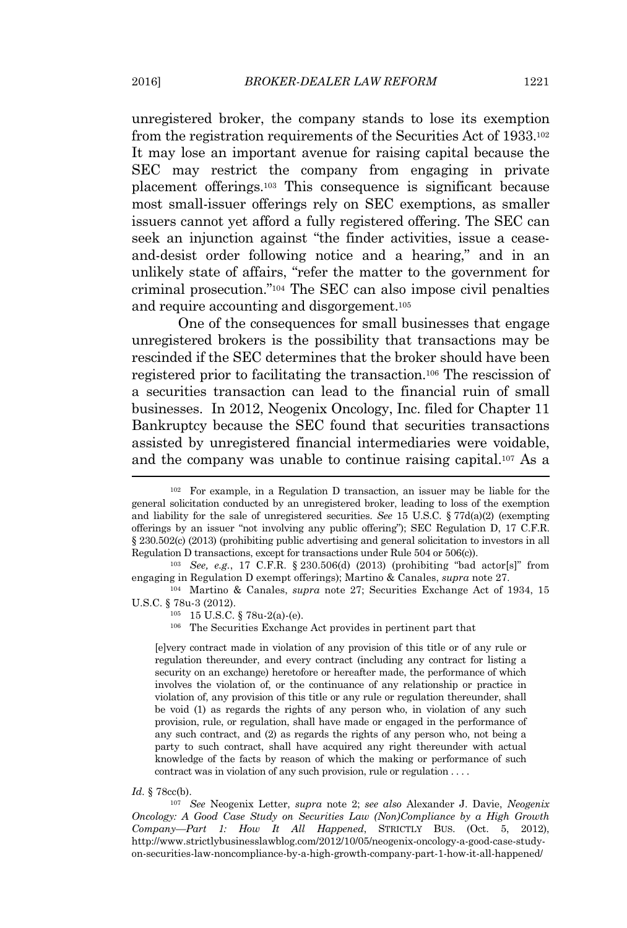unregistered broker, the company stands to lose its exemption from the registration requirements of the Securities Act of 1933.<sup>102</sup> It may lose an important avenue for raising capital because the SEC may restrict the company from engaging in private placement offerings.<sup>103</sup> This consequence is significant because most small-issuer offerings rely on SEC exemptions, as smaller issuers cannot yet afford a fully registered offering. The SEC can seek an injunction against "the finder activities, issue a ceaseand-desist order following notice and a hearing," and in an unlikely state of affairs, "refer the matter to the government for criminal prosecution." <sup>104</sup> The SEC can also impose civil penalties and require accounting and disgorgement.<sup>105</sup>

One of the consequences for small businesses that engage unregistered brokers is the possibility that transactions may be rescinded if the SEC determines that the broker should have been registered prior to facilitating the transaction.<sup>106</sup> The rescission of a securities transaction can lead to the financial ruin of small businesses. In 2012, Neogenix Oncology, Inc. filed for Chapter 11 Bankruptcy because the SEC found that securities transactions assisted by unregistered financial intermediaries were voidable, and the company was unable to continue raising capital.<sup>107</sup> As a

<sup>104</sup> Martino & Canales, *supra* note 27; Securities Exchange Act of 1934, 15 U.S.C. § 78u-3 (2012).

<sup>106</sup> The Securities Exchange Act provides in pertinent part that

[e]very contract made in violation of any provision of this title or of any rule or regulation thereunder, and every contract (including any contract for listing a security on an exchange) heretofore or hereafter made, the performance of which involves the violation of, or the continuance of any relationship or practice in violation of, any provision of this title or any rule or regulation thereunder, shall be void (1) as regards the rights of any person who, in violation of any such provision, rule, or regulation, shall have made or engaged in the performance of any such contract, and (2) as regards the rights of any person who, not being a party to such contract, shall have acquired any right thereunder with actual knowledge of the facts by reason of which the making or performance of such contract was in violation of any such provision, rule or regulation . . . .

#### *Id.* § 78cc(b).

<sup>107</sup> *See* Neogenix Letter, *supra* note 2; *see also* Alexander J. Davie, *Neogenix Oncology: A Good Case Study on Securities Law (Non)Compliance by a High Growth Company—Part 1: How It All Happened*, STRICTLY BUS. (Oct. 5, 2012), http://www.strictlybusinesslawblog.com/2012/10/05/neogenix-oncology-a-good-case-studyon-securities-law-noncompliance-by-a-high-growth-company-part-1-how-it-all-happened/

<sup>102</sup> For example, in a Regulation D transaction, an issuer may be liable for the general solicitation conducted by an unregistered broker, leading to loss of the exemption and liability for the sale of unregistered securities. *See* 15 U.S.C. § 77d(a)(2) (exempting offerings by an issuer "not involving any public offering"); SEC Regulation D, 17 C.F.R. § 230.502(c) (2013) (prohibiting public advertising and general solicitation to investors in all Regulation D transactions, except for transactions under Rule 504 or 506(c)).

<sup>103</sup> *See, e.g.*, 17 C.F.R. § 230.506(d) (2013) (prohibiting "bad actor[s]" from engaging in Regulation D exempt offerings); Martino & Canales, *supra* note 27.

<sup>105</sup> 15 U.S.C. § 78u-2(a)-(e).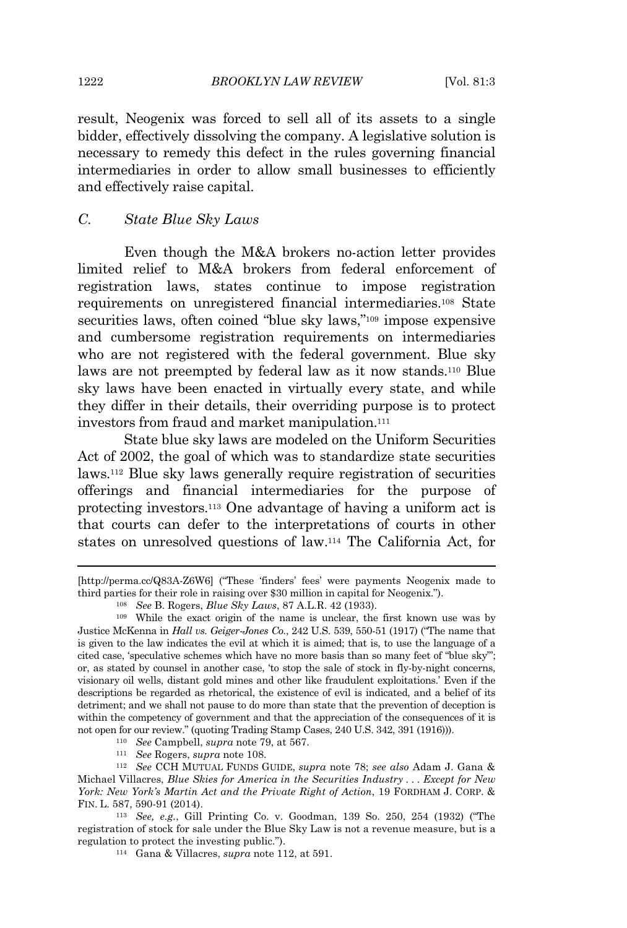result, Neogenix was forced to sell all of its assets to a single bidder, effectively dissolving the company. A legislative solution is necessary to remedy this defect in the rules governing financial intermediaries in order to allow small businesses to efficiently and effectively raise capital.

#### *C. State Blue Sky Laws*

Even though the M&A brokers no-action letter provides limited relief to M&A brokers from federal enforcement of registration laws, states continue to impose registration requirements on unregistered financial intermediaries.<sup>108</sup> State securities laws, often coined "blue sky laws,"<sup>109</sup> impose expensive and cumbersome registration requirements on intermediaries who are not registered with the federal government. Blue sky laws are not preempted by federal law as it now stands.<sup>110</sup> Blue sky laws have been enacted in virtually every state, and while they differ in their details, their overriding purpose is to protect investors from fraud and market manipulation.<sup>111</sup>

State blue sky laws are modeled on the Uniform Securities Act of 2002, the goal of which was to standardize state securities laws.<sup>112</sup> Blue sky laws generally require registration of securities offerings and financial intermediaries for the purpose of protecting investors.<sup>113</sup> One advantage of having a uniform act is that courts can defer to the interpretations of courts in other states on unresolved questions of law.<sup>114</sup> The California Act, for

<sup>110</sup> *See* Campbell, *supra* note 79, at 567.

<sup>111</sup> *See* Rogers, *supra* note 108.

<sup>[</sup>http://perma.cc/Q83A-Z6W6] ("These 'finders' fees' were payments Neogenix made to third parties for their role in raising over \$30 million in capital for Neogenix.").

<sup>108</sup> *See* B. Rogers, *Blue Sky Laws*, 87 A.L.R. 42 (1933).

<sup>109</sup> While the exact origin of the name is unclear, the first known use was by Justice McKenna in *Hall vs. Geiger-Jones Co.*, 242 U.S. 539, 550-51 (1917) ("The name that is given to the law indicates the evil at which it is aimed; that is, to use the language of a cited case, 'speculative schemes which have no more basis than so many feet of "blue sky"'; or, as stated by counsel in another case, 'to stop the sale of stock in fly-by-night concerns, visionary oil wells, distant gold mines and other like fraudulent exploitations.' Even if the descriptions be regarded as rhetorical, the existence of evil is indicated, and a belief of its detriment; and we shall not pause to do more than state that the prevention of deception is within the competency of government and that the appreciation of the consequences of it is not open for our review." (quoting Trading Stamp Cases, 240 U.S. 342, 391 (1916))).

<sup>112</sup> *See* CCH MUTUAL FUNDS GUIDE, *supra* note 78; *see also* Adam J. Gana & Michael Villacres, *Blue Skies for America in the Securities Industry . . . Except for New York: New York's Martin Act and the Private Right of Action*, 19 FORDHAM J. CORP. & FIN. L. 587, 590-91 (2014).

<sup>113</sup> *See, e.g.*, Gill Printing Co. v. Goodman, 139 So. 250, 254 (1932) ("The registration of stock for sale under the Blue Sky Law is not a revenue measure, but is a regulation to protect the investing public.").

<sup>114</sup> Gana & Villacres, *supra* note 112, at 591.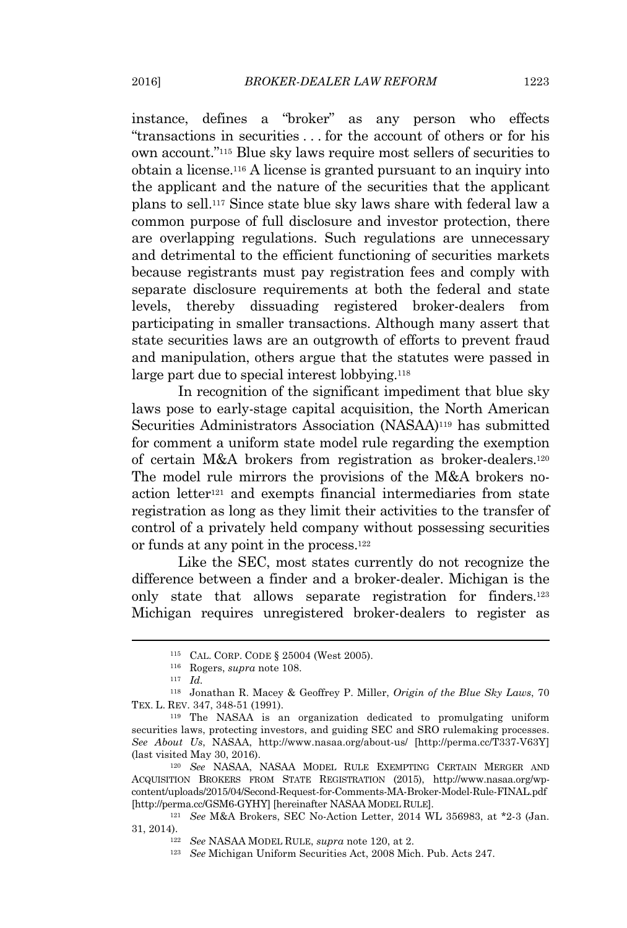instance, defines a "broker" as any person who effects "transactions in securities . . . for the account of others or for his own account." <sup>115</sup> Blue sky laws require most sellers of securities to obtain a license.<sup>116</sup> A license is granted pursuant to an inquiry into the applicant and the nature of the securities that the applicant plans to sell.<sup>117</sup> Since state blue sky laws share with federal law a common purpose of full disclosure and investor protection, there are overlapping regulations. Such regulations are unnecessary and detrimental to the efficient functioning of securities markets because registrants must pay registration fees and comply with separate disclosure requirements at both the federal and state levels, thereby dissuading registered broker-dealers from participating in smaller transactions. Although many assert that state securities laws are an outgrowth of efforts to prevent fraud and manipulation, others argue that the statutes were passed in large part due to special interest lobbying.<sup>118</sup>

In recognition of the significant impediment that blue sky laws pose to early-stage capital acquisition, the North American Securities Administrators Association (NASAA)<sup>119</sup> has submitted for comment a uniform state model rule regarding the exemption of certain M&A brokers from registration as broker-dealers.<sup>120</sup> The model rule mirrors the provisions of the M&A brokers noaction letter<sup>121</sup> and exempts financial intermediaries from state registration as long as they limit their activities to the transfer of control of a privately held company without possessing securities or funds at any point in the process.<sup>122</sup>

Like the SEC, most states currently do not recognize the difference between a finder and a broker-dealer. Michigan is the only state that allows separate registration for finders.<sup>123</sup> Michigan requires unregistered broker-dealers to register as

<sup>115</sup> CAL. CORP. CODE § 25004 (West 2005).

<sup>116</sup> Rogers, *supra* note 108.

<sup>117</sup> *Id.*

<sup>118</sup> Jonathan R. Macey & Geoffrey P. Miller, *Origin of the Blue Sky Laws*, 70 TEX. L. REV. 347, 348-51 (1991).

<sup>119</sup> The NASAA is an organization dedicated to promulgating uniform securities laws, protecting investors, and guiding SEC and SRO rulemaking processes. *See About Us*, NASAA, http://www.nasaa.org/about-us/ [http://perma.cc/T337-V63Y] (last visited May 30, 2016).

<sup>120</sup> *See* NASAA, NASAA MODEL RULE EXEMPTING CERTAIN MERGER AND ACQUISITION BROKERS FROM STATE REGISTRATION (2015), http://www.nasaa.org/wpcontent/uploads/2015/04/Second-Request-for-Comments-MA-Broker-Model-Rule-FINAL.pdf [http://perma.cc/GSM6-GYHY] [hereinafter NASAA MODEL RULE].

<sup>121</sup> *See* M&A Brokers, SEC No-Action Letter, 2014 WL 356983, at \*2-3 (Jan. 31, 2014).

<sup>122</sup> *See* NASAA MODEL RULE, *supra* note 120, at 2.

<sup>123</sup> *See* Michigan Uniform Securities Act, 2008 Mich. Pub. Acts 247.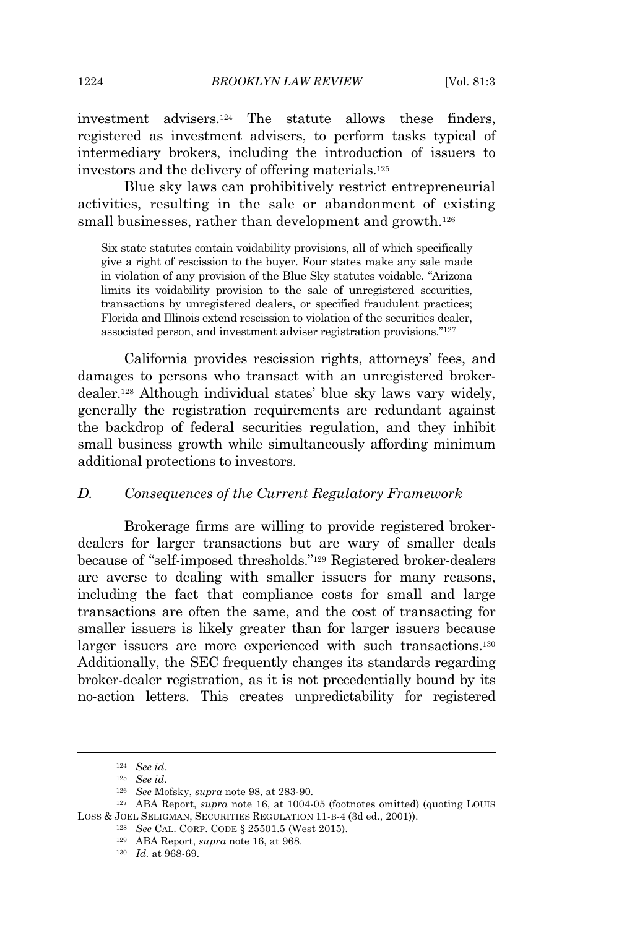investment advisers.<sup>124</sup> The statute allows these finders, registered as investment advisers, to perform tasks typical of intermediary brokers, including the introduction of issuers to investors and the delivery of offering materials.<sup>125</sup>

Blue sky laws can prohibitively restrict entrepreneurial activities, resulting in the sale or abandonment of existing small businesses, rather than development and growth.<sup>126</sup>

Six state statutes contain voidability provisions, all of which specifically give a right of rescission to the buyer. Four states make any sale made in violation of any provision of the Blue Sky statutes voidable. "Arizona limits its voidability provision to the sale of unregistered securities, transactions by unregistered dealers, or specified fraudulent practices; Florida and Illinois extend rescission to violation of the securities dealer, associated person, and investment adviser registration provisions." 127

California provides rescission rights, attorneys' fees, and damages to persons who transact with an unregistered brokerdealer.<sup>128</sup> Although individual states' blue sky laws vary widely, generally the registration requirements are redundant against the backdrop of federal securities regulation, and they inhibit small business growth while simultaneously affording minimum additional protections to investors.

### *D. Consequences of the Current Regulatory Framework*

Brokerage firms are willing to provide registered brokerdealers for larger transactions but are wary of smaller deals because of "self-imposed thresholds." <sup>129</sup> Registered broker-dealers are averse to dealing with smaller issuers for many reasons, including the fact that compliance costs for small and large transactions are often the same, and the cost of transacting for smaller issuers is likely greater than for larger issuers because larger issuers are more experienced with such transactions.<sup>130</sup> Additionally, the SEC frequently changes its standards regarding broker-dealer registration, as it is not precedentially bound by its no-action letters. This creates unpredictability for registered

<sup>124</sup> *See id.*

<sup>125</sup> *See id.*

<sup>126</sup> *See* Mofsky, *supra* note 98, at 283-90.

<sup>127</sup> ABA Report, *supra* note 16, at 1004-05 (footnotes omitted) (quoting LOUIS LOSS & JOEL SELIGMAN, SECURITIES REGULATION 11-B-4 (3d ed., 2001)).

<sup>128</sup> *See* CAL. CORP. CODE § 25501.5 (West 2015).

<sup>129</sup> ABA Report, *supra* note 16, at 968.

<sup>130</sup> *Id.* at 968-69.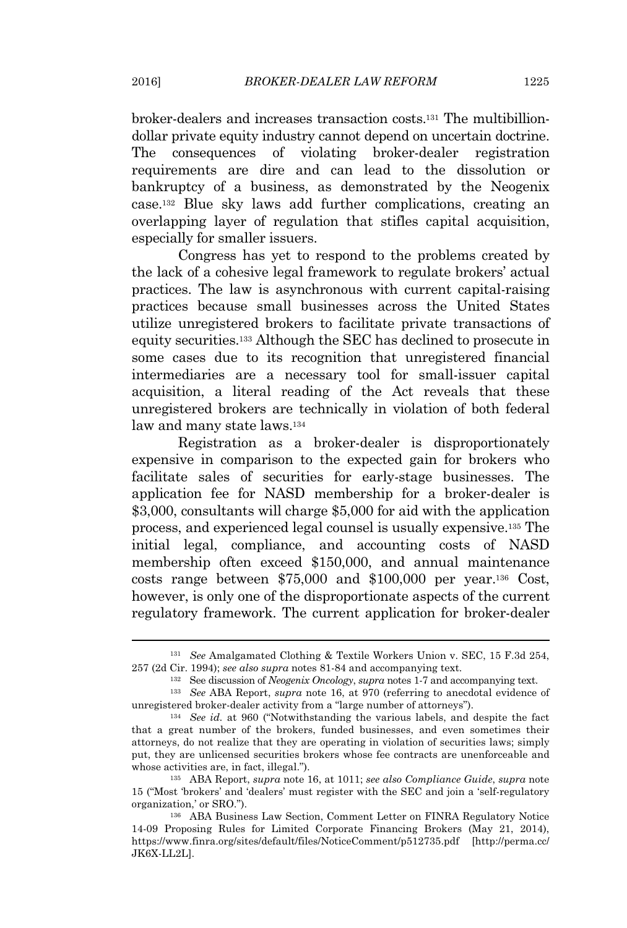broker-dealers and increases transaction costs.<sup>131</sup> The multibilliondollar private equity industry cannot depend on uncertain doctrine. The consequences of violating broker-dealer registration requirements are dire and can lead to the dissolution or bankruptcy of a business, as demonstrated by the Neogenix case.<sup>132</sup> Blue sky laws add further complications, creating an overlapping layer of regulation that stifles capital acquisition, especially for smaller issuers.

Congress has yet to respond to the problems created by the lack of a cohesive legal framework to regulate brokers' actual practices. The law is asynchronous with current capital-raising practices because small businesses across the United States utilize unregistered brokers to facilitate private transactions of equity securities.<sup>133</sup> Although the SEC has declined to prosecute in some cases due to its recognition that unregistered financial intermediaries are a necessary tool for small-issuer capital acquisition, a literal reading of the Act reveals that these unregistered brokers are technically in violation of both federal law and many state laws.<sup>134</sup>

Registration as a broker-dealer is disproportionately expensive in comparison to the expected gain for brokers who facilitate sales of securities for early-stage businesses. The application fee for NASD membership for a broker-dealer is \$3,000, consultants will charge \$5,000 for aid with the application process, and experienced legal counsel is usually expensive.<sup>135</sup> The initial legal, compliance, and accounting costs of NASD membership often exceed \$150,000, and annual maintenance costs range between \$75,000 and \$100,000 per year.<sup>136</sup> Cost, however, is only one of the disproportionate aspects of the current regulatory framework. The current application for broker-dealer

<sup>131</sup> *See* Amalgamated Clothing & Textile Workers Union v. SEC, 15 F.3d 254, 257 (2d Cir. 1994); *see also supra* notes 81-84 and accompanying text.

<sup>132</sup> See discussion of *Neogenix Oncology*, *supra* notes 1-7 and accompanying text.

<sup>133</sup> *See* ABA Report, *supra* note 16, at 970 (referring to anecdotal evidence of unregistered broker-dealer activity from a "large number of attorneys").

<sup>134</sup> *See id.* at 960 ("Notwithstanding the various labels, and despite the fact that a great number of the brokers, funded businesses, and even sometimes their attorneys, do not realize that they are operating in violation of securities laws; simply put, they are unlicensed securities brokers whose fee contracts are unenforceable and whose activities are, in fact, illegal.").

<sup>135</sup> ABA Report, *supra* note 16, at 1011; *see also Compliance Guide*, *supra* note 15 ("Most 'brokers' and 'dealers' must register with the SEC and join a 'self-regulatory organization,' or SRO.").

<sup>136</sup> ABA Business Law Section, Comment Letter on FINRA Regulatory Notice 14-09 Proposing Rules for Limited Corporate Financing Brokers (May 21, 2014), https://www.finra.org/sites/default/files/NoticeComment/p512735.pdf [http://perma.cc/ JK6X-LL2L].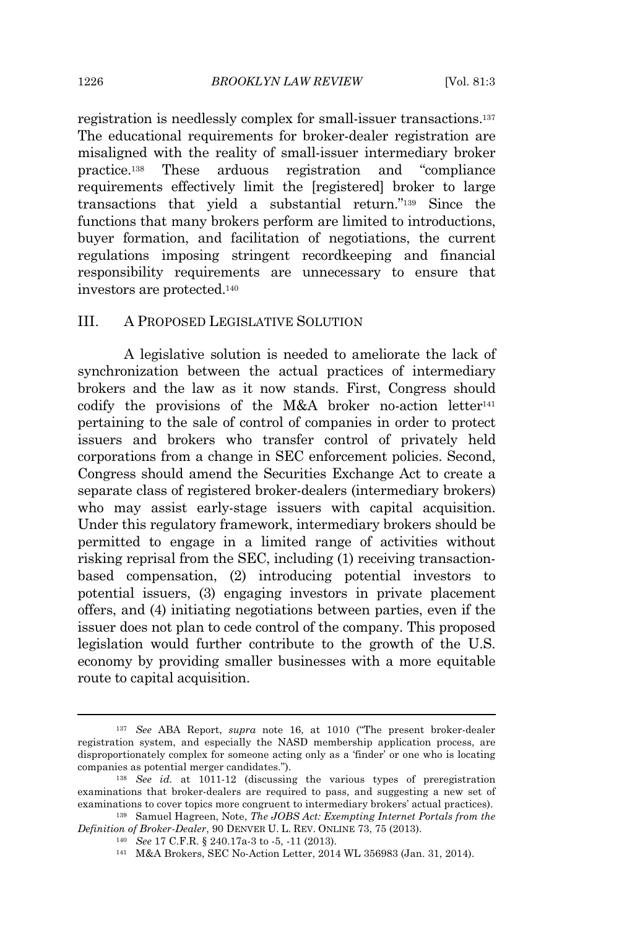registration is needlessly complex for small-issuer transactions.<sup>137</sup> The educational requirements for broker-dealer registration are misaligned with the reality of small-issuer intermediary broker practice.<sup>138</sup> These arduous registration and "compliance requirements effectively limit the [registered] broker to large transactions that yield a substantial return." <sup>139</sup> Since the functions that many brokers perform are limited to introductions, buyer formation, and facilitation of negotiations, the current regulations imposing stringent recordkeeping and financial responsibility requirements are unnecessary to ensure that investors are protected.<sup>140</sup>

## III. A PROPOSED LEGISLATIVE SOLUTION

A legislative solution is needed to ameliorate the lack of synchronization between the actual practices of intermediary brokers and the law as it now stands. First, Congress should codify the provisions of the M&A broker no-action letter<sup>141</sup> pertaining to the sale of control of companies in order to protect issuers and brokers who transfer control of privately held corporations from a change in SEC enforcement policies. Second, Congress should amend the Securities Exchange Act to create a separate class of registered broker-dealers (intermediary brokers) who may assist early-stage issuers with capital acquisition. Under this regulatory framework, intermediary brokers should be permitted to engage in a limited range of activities without risking reprisal from the SEC, including (1) receiving transactionbased compensation, (2) introducing potential investors to potential issuers, (3) engaging investors in private placement offers, and (4) initiating negotiations between parties, even if the issuer does not plan to cede control of the company. This proposed legislation would further contribute to the growth of the U.S. economy by providing smaller businesses with a more equitable route to capital acquisition.

<sup>137</sup> *See* ABA Report, *supra* note 16, at 1010 ("The present broker-dealer registration system, and especially the NASD membership application process, are disproportionately complex for someone acting only as a 'finder' or one who is locating companies as potential merger candidates.").

<sup>138</sup> *See id.* at 1011-12 (discussing the various types of preregistration examinations that broker-dealers are required to pass, and suggesting a new set of examinations to cover topics more congruent to intermediary brokers' actual practices).

<sup>139</sup> Samuel Hagreen, Note, *The JOBS Act: Exempting Internet Portals from the Definition of Broker-Dealer*, 90 DENVER U. L. REV. ONLINE 73, 75 (2013).

<sup>140</sup> *See* 17 C.F.R. § 240.17a-3 to -5, -11 (2013).

<sup>141</sup> M&A Brokers, SEC No-Action Letter, 2014 WL 356983 (Jan. 31, 2014).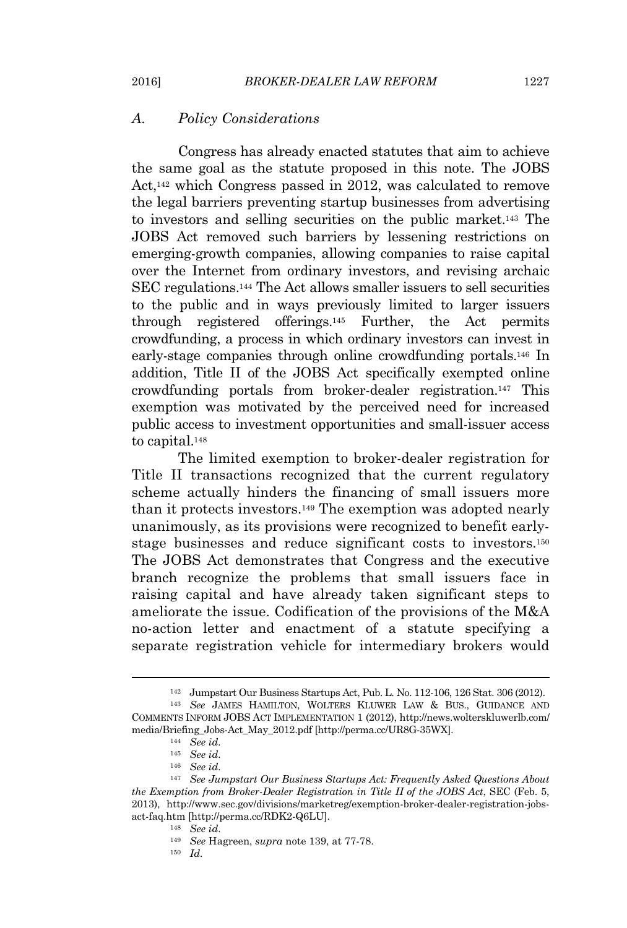### *A. Policy Considerations*

Congress has already enacted statutes that aim to achieve the same goal as the statute proposed in this note. The JOBS Act,<sup>142</sup> which Congress passed in 2012, was calculated to remove the legal barriers preventing startup businesses from advertising to investors and selling securities on the public market.<sup>143</sup> The JOBS Act removed such barriers by lessening restrictions on emerging-growth companies, allowing companies to raise capital over the Internet from ordinary investors, and revising archaic SEC regulations.<sup>144</sup> The Act allows smaller issuers to sell securities to the public and in ways previously limited to larger issuers through registered offerings.<sup>145</sup> Further, the Act permits crowdfunding, a process in which ordinary investors can invest in early-stage companies through online crowdfunding portals.<sup>146</sup> In addition, Title II of the JOBS Act specifically exempted online crowdfunding portals from broker-dealer registration.<sup>147</sup> This exemption was motivated by the perceived need for increased public access to investment opportunities and small-issuer access to capital.<sup>148</sup>

The limited exemption to broker-dealer registration for Title II transactions recognized that the current regulatory scheme actually hinders the financing of small issuers more than it protects investors.<sup>149</sup> The exemption was adopted nearly unanimously, as its provisions were recognized to benefit earlystage businesses and reduce significant costs to investors.<sup>150</sup> The JOBS Act demonstrates that Congress and the executive branch recognize the problems that small issuers face in raising capital and have already taken significant steps to ameliorate the issue. Codification of the provisions of the M&A no-action letter and enactment of a statute specifying a separate registration vehicle for intermediary brokers would

<sup>142</sup> Jumpstart Our Business Startups Act, Pub. L. No. 112-106, 126 Stat. 306 (2012). <sup>143</sup> *See* JAMES HAMILTON, WOLTERS KLUWER LAW & BUS., GUIDANCE AND COMMENTS INFORM JOBS ACT IMPLEMENTATION 1 (2012), http://news.wolterskluwerlb.com/ media/Briefing\_Jobs-Act\_May\_2012.pdf [http://perma.cc/UR8G-35WX].

<sup>144</sup> *See id.*

<sup>145</sup> *See id.*

<sup>146</sup> *See id.*

<sup>147</sup> *See Jumpstart Our Business Startups Act: Frequently Asked Questions About the Exemption from Broker-Dealer Registration in Title II of the JOBS Act*, SEC (Feb. 5, 2013), http://www.sec.gov/divisions/marketreg/exemption-broker-dealer-registration-jobsact-faq.htm [http://perma.cc/RDK2-Q6LU].

<sup>148</sup> *See id.*

<sup>149</sup> *See* Hagreen, *supra* note 139, at 77-78.

<sup>150</sup> *Id.*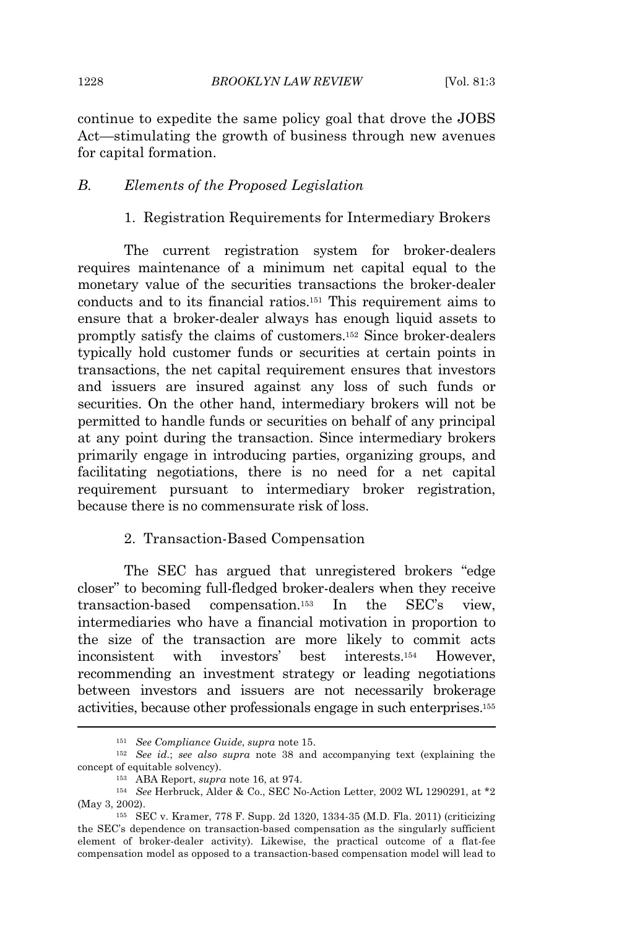continue to expedite the same policy goal that drove the JOBS Act—stimulating the growth of business through new avenues for capital formation.

## *B. Elements of the Proposed Legislation*

1. Registration Requirements for Intermediary Brokers

The current registration system for broker-dealers requires maintenance of a minimum net capital equal to the monetary value of the securities transactions the broker-dealer conducts and to its financial ratios.<sup>151</sup> This requirement aims to ensure that a broker-dealer always has enough liquid assets to promptly satisfy the claims of customers.<sup>152</sup> Since broker-dealers typically hold customer funds or securities at certain points in transactions, the net capital requirement ensures that investors and issuers are insured against any loss of such funds or securities. On the other hand, intermediary brokers will not be permitted to handle funds or securities on behalf of any principal at any point during the transaction. Since intermediary brokers primarily engage in introducing parties, organizing groups, and facilitating negotiations, there is no need for a net capital requirement pursuant to intermediary broker registration, because there is no commensurate risk of loss.

### 2. Transaction-Based Compensation

The SEC has argued that unregistered brokers "edge closer" to becoming full-fledged broker-dealers when they receive transaction-based compensation.<sup>153</sup> In the SEC's view, intermediaries who have a financial motivation in proportion to the size of the transaction are more likely to commit acts inconsistent with investors' best interests.<sup>154</sup> However, recommending an investment strategy or leading negotiations between investors and issuers are not necessarily brokerage activities, because other professionals engage in such enterprises.<sup>155</sup>

<sup>151</sup> *See Compliance Guide*, *supra* note 15.

<sup>152</sup> *See id.*; *see also supra* note 38 and accompanying text (explaining the concept of equitable solvency).

<sup>153</sup> ABA Report, *supra* note 16, at 974.

<sup>154</sup> *See* Herbruck, Alder & Co., SEC No-Action Letter, 2002 WL 1290291, at \*2 (May 3, 2002).

<sup>155</sup> SEC v. Kramer, 778 F. Supp. 2d 1320, 1334-35 (M.D. Fla. 2011) (criticizing the SEC's dependence on transaction-based compensation as the singularly sufficient element of broker-dealer activity). Likewise, the practical outcome of a flat-fee compensation model as opposed to a transaction-based compensation model will lead to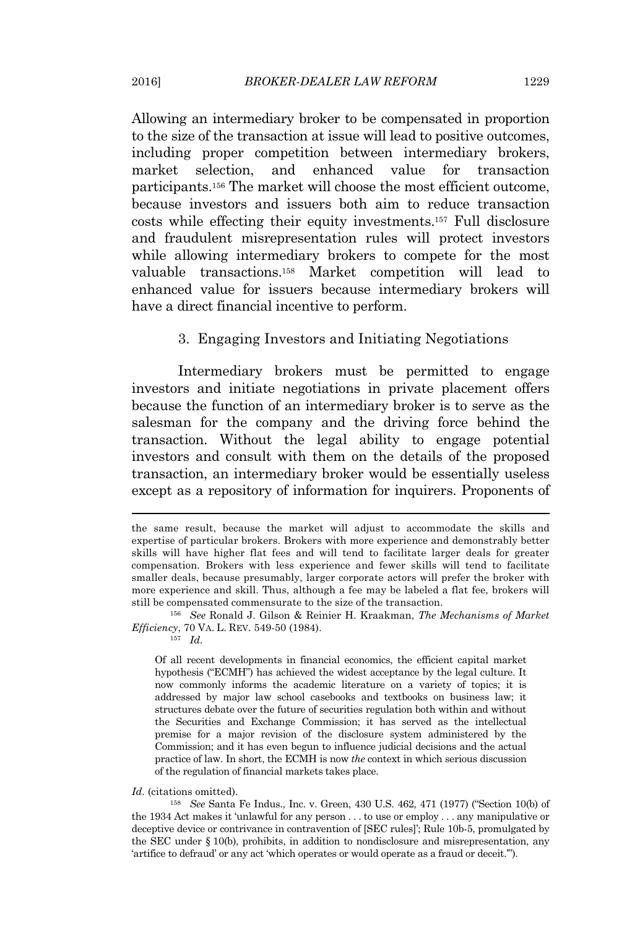Allowing an intermediary broker to be compensated in proportion to the size of the transaction at issue will lead to positive outcomes, including proper competition between intermediary brokers, market selection, and enhanced value for transaction participants.<sup>156</sup> The market will choose the most efficient outcome, because investors and issuers both aim to reduce transaction costs while effecting their equity investments.<sup>157</sup> Full disclosure and fraudulent misrepresentation rules will protect investors while allowing intermediary brokers to compete for the most valuable transactions.<sup>158</sup> Market competition will lead to enhanced value for issuers because intermediary brokers will have a direct financial incentive to perform.

3. Engaging Investors and Initiating Negotiations

Intermediary brokers must be permitted to engage investors and initiate negotiations in private placement offers because the function of an intermediary broker is to serve as the salesman for the company and the driving force behind the transaction. Without the legal ability to engage potential investors and consult with them on the details of the proposed transaction, an intermediary broker would be essentially useless except as a repository of information for inquirers. Proponents of

<sup>156</sup> *See* Ronald J. Gilson & Reinier H. Kraakman, *The Mechanisms of Market Efficiency*, 70 VA. L. REV. 549-50 (1984).

<sup>157</sup> *Id.*

Of all recent developments in financial economics, the efficient capital market hypothesis ("ECMH") has achieved the widest acceptance by the legal culture. It now commonly informs the academic literature on a variety of topics; it is addressed by major law school casebooks and textbooks on business law; it structures debate over the future of securities regulation both within and without the Securities and Exchange Commission; it has served as the intellectual premise for a major revision of the disclosure system administered by the Commission; and it has even begun to influence judicial decisions and the actual practice of law. In short, the ECMH is now *the* context in which serious discussion of the regulation of financial markets takes place.

#### *Id.* (citations omitted).

<sup>158</sup> *See* Santa Fe Indus., Inc. v. Green, 430 U.S. 462, 471 (1977) ("Section 10(b) of the 1934 Act makes it 'unlawful for any person . . . to use or employ . . . any manipulative or deceptive device or contrivance in contravention of [SEC rules]'; Rule 10b-5, promulgated by the SEC under § 10(b), prohibits, in addition to nondisclosure and misrepresentation, any 'artifice to defraud' or any act 'which operates or would operate as a fraud or deceit.'").

the same result, because the market will adjust to accommodate the skills and expertise of particular brokers. Brokers with more experience and demonstrably better skills will have higher flat fees and will tend to facilitate larger deals for greater compensation. Brokers with less experience and fewer skills will tend to facilitate smaller deals, because presumably, larger corporate actors will prefer the broker with more experience and skill. Thus, although a fee may be labeled a flat fee, brokers will still be compensated commensurate to the size of the transaction.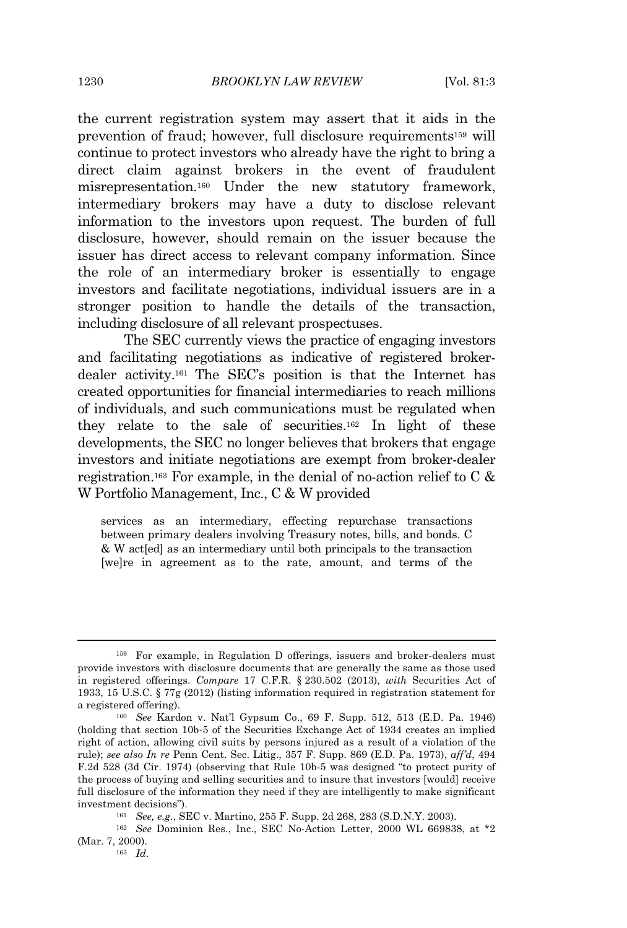the current registration system may assert that it aids in the prevention of fraud; however, full disclosure requirements<sup>159</sup> will continue to protect investors who already have the right to bring a direct claim against brokers in the event of fraudulent misrepresentation.<sup>160</sup> Under the new statutory framework, intermediary brokers may have a duty to disclose relevant information to the investors upon request. The burden of full disclosure, however, should remain on the issuer because the issuer has direct access to relevant company information. Since the role of an intermediary broker is essentially to engage investors and facilitate negotiations, individual issuers are in a stronger position to handle the details of the transaction, including disclosure of all relevant prospectuses.

The SEC currently views the practice of engaging investors and facilitating negotiations as indicative of registered brokerdealer activity.<sup>161</sup> The SEC's position is that the Internet has created opportunities for financial intermediaries to reach millions of individuals, and such communications must be regulated when they relate to the sale of securities.<sup>162</sup> In light of these developments, the SEC no longer believes that brokers that engage investors and initiate negotiations are exempt from broker-dealer registration.<sup>163</sup> For example, in the denial of no-action relief to C  $\&$ W Portfolio Management, Inc., C & W provided

services as an intermediary, effecting repurchase transactions between primary dealers involving Treasury notes, bills, and bonds. C & W act[ed] as an intermediary until both principals to the transaction [we]re in agreement as to the rate, amount, and terms of the

<sup>159</sup> For example, in Regulation D offerings, issuers and broker-dealers must provide investors with disclosure documents that are generally the same as those used in registered offerings. *Compare* 17 C.F.R. § 230.502 (2013), *with* Securities Act of 1933, 15 U.S.C. § 77g (2012) (listing information required in registration statement for a registered offering).

<sup>160</sup> *See* Kardon v. Nat'l Gypsum Co., 69 F. Supp. 512, 513 (E.D. Pa. 1946) (holding that section 10b-5 of the Securities Exchange Act of 1934 creates an implied right of action, allowing civil suits by persons injured as a result of a violation of the rule); *see also In re* Penn Cent. Sec. Litig., 357 F. Supp. 869 (E.D. Pa. 1973), *aff'd*, 494 F.2d 528 (3d Cir. 1974) (observing that Rule 10b-5 was designed "to protect purity of the process of buying and selling securities and to insure that investors [would] receive full disclosure of the information they need if they are intelligently to make significant investment decisions").

<sup>161</sup> *See, e.g.*, SEC v. Martino, 255 F. Supp. 2d 268, 283 (S.D.N.Y. 2003).

<sup>162</sup> *See* Dominion Res., Inc., SEC No-Action Letter, 2000 WL 669838, at \*2 (Mar. 7, 2000).

<sup>163</sup> *Id.*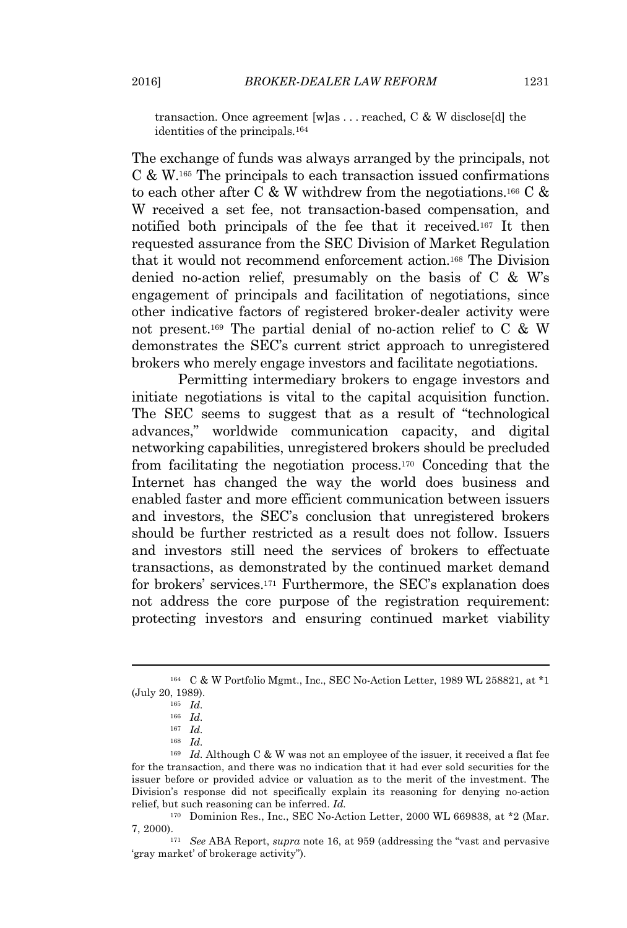transaction. Once agreement [w]as . . . reached, C & W disclose[d] the identities of the principals.<sup>164</sup>

The exchange of funds was always arranged by the principals, not C & W.<sup>165</sup> The principals to each transaction issued confirmations to each other after C & W withdrew from the negotiations.<sup>166</sup> C & W received a set fee, not transaction-based compensation, and notified both principals of the fee that it received.<sup>167</sup> It then requested assurance from the SEC Division of Market Regulation that it would not recommend enforcement action.<sup>168</sup> The Division denied no-action relief, presumably on the basis of C & W's engagement of principals and facilitation of negotiations, since other indicative factors of registered broker-dealer activity were not present.<sup>169</sup> The partial denial of no-action relief to C & W demonstrates the SEC's current strict approach to unregistered brokers who merely engage investors and facilitate negotiations.

Permitting intermediary brokers to engage investors and initiate negotiations is vital to the capital acquisition function. The SEC seems to suggest that as a result of "technological advances," worldwide communication capacity, and digital networking capabilities, unregistered brokers should be precluded from facilitating the negotiation process.<sup>170</sup> Conceding that the Internet has changed the way the world does business and enabled faster and more efficient communication between issuers and investors, the SEC's conclusion that unregistered brokers should be further restricted as a result does not follow. Issuers and investors still need the services of brokers to effectuate transactions, as demonstrated by the continued market demand for brokers' services.<sup>171</sup> Furthermore, the SEC's explanation does not address the core purpose of the registration requirement: protecting investors and ensuring continued market viability

<sup>164</sup> C & W Portfolio Mgmt., Inc., SEC No-Action Letter, 1989 WL 258821, at \*1 (July 20, 1989).

<sup>165</sup> *Id.*

<sup>166</sup> *Id.*

<sup>167</sup> *Id.*

<sup>168</sup> *Id.*

<sup>&</sup>lt;sup>169</sup> *Id.* Although C & W was not an employee of the issuer, it received a flat fee for the transaction, and there was no indication that it had ever sold securities for the issuer before or provided advice or valuation as to the merit of the investment. The Division's response did not specifically explain its reasoning for denying no-action relief, but such reasoning can be inferred. *Id.*

<sup>170</sup> Dominion Res., Inc., SEC No-Action Letter, 2000 WL 669838, at \*2 (Mar. 7, 2000).

<sup>171</sup> *See* ABA Report, *supra* note 16, at 959 (addressing the "vast and pervasive 'gray market' of brokerage activity").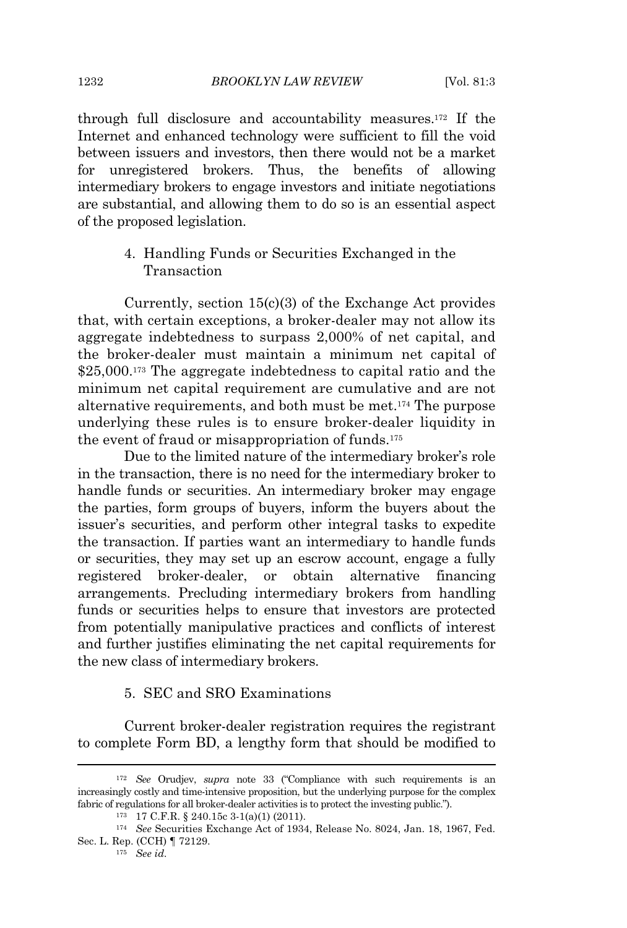through full disclosure and accountability measures.<sup>172</sup> If the Internet and enhanced technology were sufficient to fill the void between issuers and investors, then there would not be a market for unregistered brokers. Thus, the benefits of allowing intermediary brokers to engage investors and initiate negotiations are substantial, and allowing them to do so is an essential aspect of the proposed legislation.

> 4. Handling Funds or Securities Exchanged in the **Transaction**

Currently, section 15(c)(3) of the Exchange Act provides that, with certain exceptions, a broker-dealer may not allow its aggregate indebtedness to surpass 2,000% of net capital, and the broker-dealer must maintain a minimum net capital of \$25,000.<sup>173</sup> The aggregate indebtedness to capital ratio and the minimum net capital requirement are cumulative and are not alternative requirements, and both must be met.<sup>174</sup> The purpose underlying these rules is to ensure broker-dealer liquidity in the event of fraud or misappropriation of funds.<sup>175</sup>

Due to the limited nature of the intermediary broker's role in the transaction, there is no need for the intermediary broker to handle funds or securities. An intermediary broker may engage the parties, form groups of buyers, inform the buyers about the issuer's securities, and perform other integral tasks to expedite the transaction. If parties want an intermediary to handle funds or securities, they may set up an escrow account, engage a fully registered broker-dealer, or obtain alternative financing arrangements. Precluding intermediary brokers from handling funds or securities helps to ensure that investors are protected from potentially manipulative practices and conflicts of interest and further justifies eliminating the net capital requirements for the new class of intermediary brokers.

## 5. SEC and SRO Examinations

Current broker-dealer registration requires the registrant to complete Form BD, a lengthy form that should be modified to

<sup>172</sup> *See* Orudjev, *supra* note 33 ("Compliance with such requirements is an increasingly costly and time-intensive proposition, but the underlying purpose for the complex fabric of regulations for all broker-dealer activities is to protect the investing public.").

 $173$  17 C.F.R. § 240.15c 3-1(a)(1) (2011).

<sup>174</sup> *See* Securities Exchange Act of 1934, Release No. 8024, Jan. 18, 1967, Fed. Sec. L. Rep. (CCH) ¶ 72129.

<sup>175</sup> *See id.*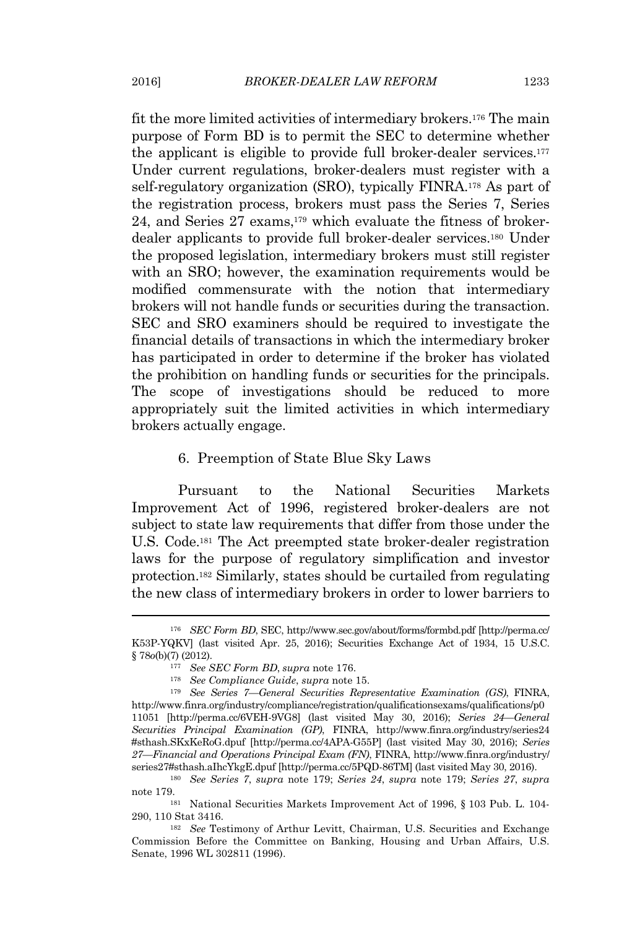fit the more limited activities of intermediary brokers.<sup>176</sup> The main purpose of Form BD is to permit the SEC to determine whether the applicant is eligible to provide full broker-dealer services.<sup>177</sup> Under current regulations, broker-dealers must register with a self-regulatory organization (SRO), typically FINRA.<sup>178</sup> As part of the registration process, brokers must pass the Series 7, Series 24, and Series 27 exams,<sup>179</sup> which evaluate the fitness of brokerdealer applicants to provide full broker-dealer services.<sup>180</sup> Under the proposed legislation, intermediary brokers must still register with an SRO; however, the examination requirements would be modified commensurate with the notion that intermediary brokers will not handle funds or securities during the transaction. SEC and SRO examiners should be required to investigate the financial details of transactions in which the intermediary broker has participated in order to determine if the broker has violated the prohibition on handling funds or securities for the principals. The scope of investigations should be reduced to more appropriately suit the limited activities in which intermediary brokers actually engage.

#### 6. Preemption of State Blue Sky Laws

Pursuant to the National Securities Markets Improvement Act of 1996, registered broker-dealers are not subject to state law requirements that differ from those under the U.S. Code.<sup>181</sup> The Act preempted state broker-dealer registration laws for the purpose of regulatory simplification and investor protection.<sup>182</sup> Similarly, states should be curtailed from regulating the new class of intermediary brokers in order to lower barriers to

<sup>176</sup> *SEC Form BD*, SEC, http://www.sec.gov/about/forms/formbd.pdf [http://perma.cc/ K53P-YQKV] (last visited Apr. 25, 2016); Securities Exchange Act of 1934, 15 U.S.C. § 78*o*(b)(7) (2012).

<sup>177</sup> *See SEC Form BD*, *supra* note 176.

<sup>178</sup> *See Compliance Guide*, *supra* note 15.

<sup>179</sup> *See Series 7—General Securities Representative Examination (GS)*, FINRA, http://www.finra.org/industry/compliance/registration/qualificationsexams/qualifications/p0 11051 [http://perma.cc/6VEH-9VG8] (last visited May 30, 2016); *Series 24—General Securities Principal Examination (GP)*, FINRA, http://www.finra.org/industry/series24 #sthash.SKxKeRoG.dpuf [http://perma.cc/4APA-G55P] (last visited May 30, 2016); *Series 27—Financial and Operations Principal Exam (FN)*, FINRA, http://www.finra.org/industry/ series27#sthash.aIhcYkgE.dpuf [http://perma.cc/5PQD-86TM] (last visited May 30, 2016).

<sup>180</sup> *See Series 7*, *supra* note 179; *Series 24*, *supra* note 179; *Series 27*, *supra* note 179.

<sup>181</sup> National Securities Markets Improvement Act of 1996, § 103 Pub. L. 104- 290, 110 Stat 3416.

<sup>182</sup> *See* Testimony of Arthur Levitt, Chairman, U.S. Securities and Exchange Commission Before the Committee on Banking, Housing and Urban Affairs, U.S. Senate, 1996 WL 302811 (1996).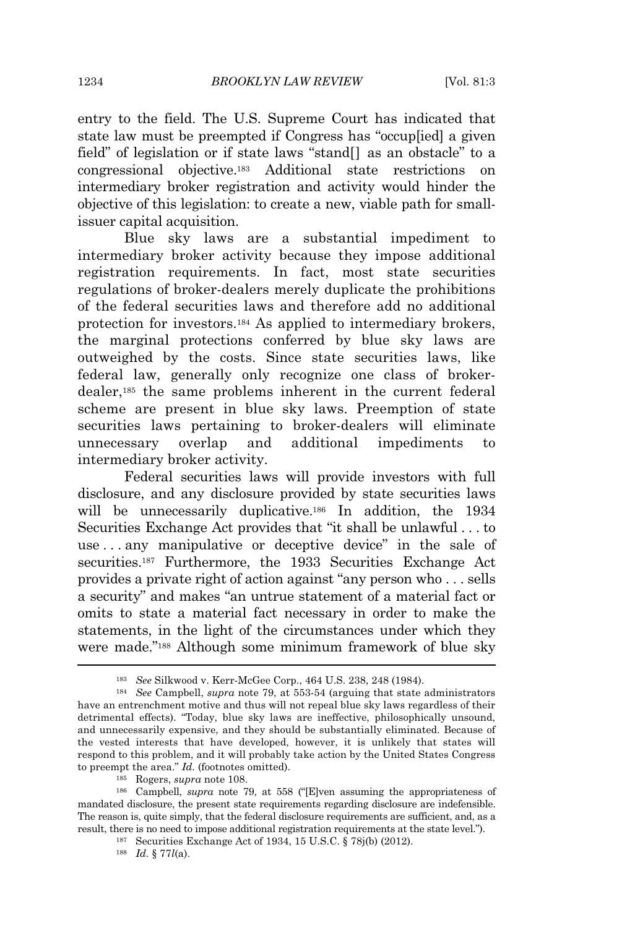entry to the field. The U.S. Supreme Court has indicated that state law must be preempted if Congress has "occup[ied] a given field" of legislation or if state laws "stand[] as an obstacle" to a congressional objective.<sup>183</sup> Additional state restrictions on intermediary broker registration and activity would hinder the objective of this legislation: to create a new, viable path for smallissuer capital acquisition.

Blue sky laws are a substantial impediment to intermediary broker activity because they impose additional registration requirements. In fact, most state securities regulations of broker-dealers merely duplicate the prohibitions of the federal securities laws and therefore add no additional protection for investors.<sup>184</sup> As applied to intermediary brokers, the marginal protections conferred by blue sky laws are outweighed by the costs. Since state securities laws, like federal law, generally only recognize one class of brokerdealer,<sup>185</sup> the same problems inherent in the current federal scheme are present in blue sky laws. Preemption of state securities laws pertaining to broker-dealers will eliminate unnecessary overlap and additional impediments to intermediary broker activity.

Federal securities laws will provide investors with full disclosure, and any disclosure provided by state securities laws will be unnecessarily duplicative.<sup>186</sup> In addition, the 1934 Securities Exchange Act provides that "it shall be unlawful . . . to use . . . any manipulative or deceptive device" in the sale of securities.<sup>187</sup> Furthermore, the 1933 Securities Exchange Act provides a private right of action against "any person who . . . sells a security" and makes "an untrue statement of a material fact or omits to state a material fact necessary in order to make the statements, in the light of the circumstances under which they were made." <sup>188</sup> Although some minimum framework of blue sky

<sup>183</sup> *See* Silkwood v. Kerr-McGee Corp., 464 U.S. 238, 248 (1984).

<sup>184</sup> *See* Campbell, *supra* note 79, at 553-54 (arguing that state administrators have an entrenchment motive and thus will not repeal blue sky laws regardless of their detrimental effects). "Today, blue sky laws are ineffective, philosophically unsound, and unnecessarily expensive, and they should be substantially eliminated. Because of the vested interests that have developed, however, it is unlikely that states will respond to this problem, and it will probably take action by the United States Congress to preempt the area." *Id.* (footnotes omitted).

<sup>185</sup> Rogers, *supra* note 108.

<sup>186</sup> Campbell, *supra* note 79, at 558 ("[E]ven assuming the appropriateness of mandated disclosure, the present state requirements regarding disclosure are indefensible. The reason is, quite simply, that the federal disclosure requirements are sufficient, and, as a result, there is no need to impose additional registration requirements at the state level.").

<sup>187</sup> Securities Exchange Act of 1934, 15 U.S.C. § 78j(b) (2012).

<sup>188</sup> *Id.* § 77*l*(a).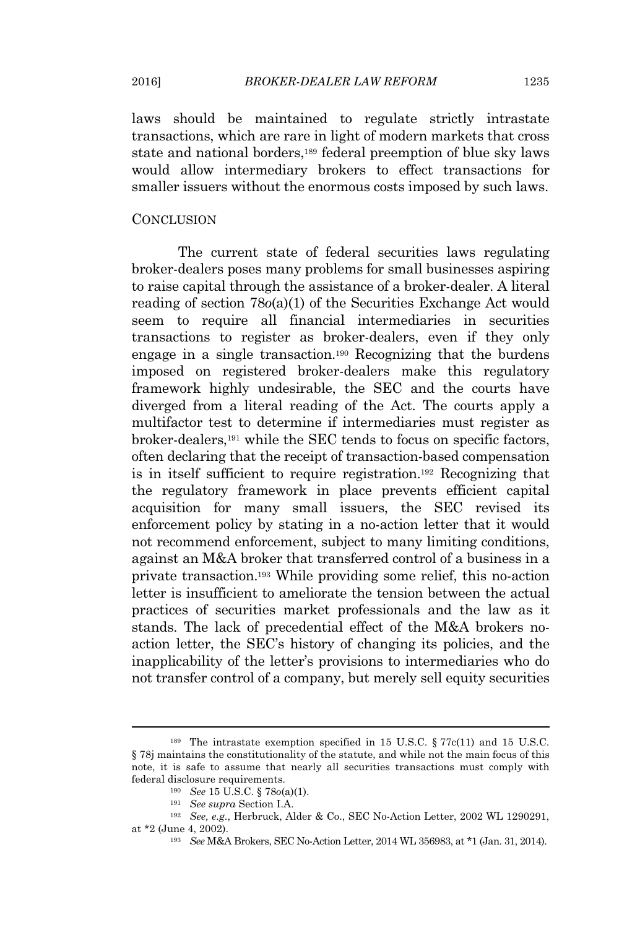laws should be maintained to regulate strictly intrastate transactions, which are rare in light of modern markets that cross state and national borders,<sup>189</sup> federal preemption of blue sky laws would allow intermediary brokers to effect transactions for smaller issuers without the enormous costs imposed by such laws.

#### **CONCLUSION**

The current state of federal securities laws regulating broker-dealers poses many problems for small businesses aspiring to raise capital through the assistance of a broker-dealer. A literal reading of section 78*o*(a)(1) of the Securities Exchange Act would seem to require all financial intermediaries in securities transactions to register as broker-dealers, even if they only engage in a single transaction.<sup>190</sup> Recognizing that the burdens imposed on registered broker-dealers make this regulatory framework highly undesirable, the SEC and the courts have diverged from a literal reading of the Act. The courts apply a multifactor test to determine if intermediaries must register as broker-dealers,<sup>191</sup> while the SEC tends to focus on specific factors, often declaring that the receipt of transaction-based compensation is in itself sufficient to require registration.<sup>192</sup> Recognizing that the regulatory framework in place prevents efficient capital acquisition for many small issuers, the SEC revised its enforcement policy by stating in a no-action letter that it would not recommend enforcement, subject to many limiting conditions, against an M&A broker that transferred control of a business in a private transaction.<sup>193</sup> While providing some relief, this no-action letter is insufficient to ameliorate the tension between the actual practices of securities market professionals and the law as it stands. The lack of precedential effect of the M&A brokers noaction letter, the SEC's history of changing its policies, and the inapplicability of the letter's provisions to intermediaries who do not transfer control of a company, but merely sell equity securities

<sup>&</sup>lt;sup>189</sup> The intrastate exemption specified in 15 U.S.C.  $\S 77c(11)$  and 15 U.S.C. § 78j maintains the constitutionality of the statute, and while not the main focus of this note, it is safe to assume that nearly all securities transactions must comply with federal disclosure requirements.

<sup>190</sup> *See* 15 U.S.C. § 78*o*(a)(1).

<sup>191</sup> *See supra* Section I.A.

<sup>192</sup> *See, e.g.*, Herbruck, Alder & Co., SEC No-Action Letter, 2002 WL 1290291, at \*2 (June 4, 2002).

<sup>193</sup> *See* M&A Brokers, SEC No-Action Letter, 2014 WL 356983, at \*1 (Jan. 31, 2014).